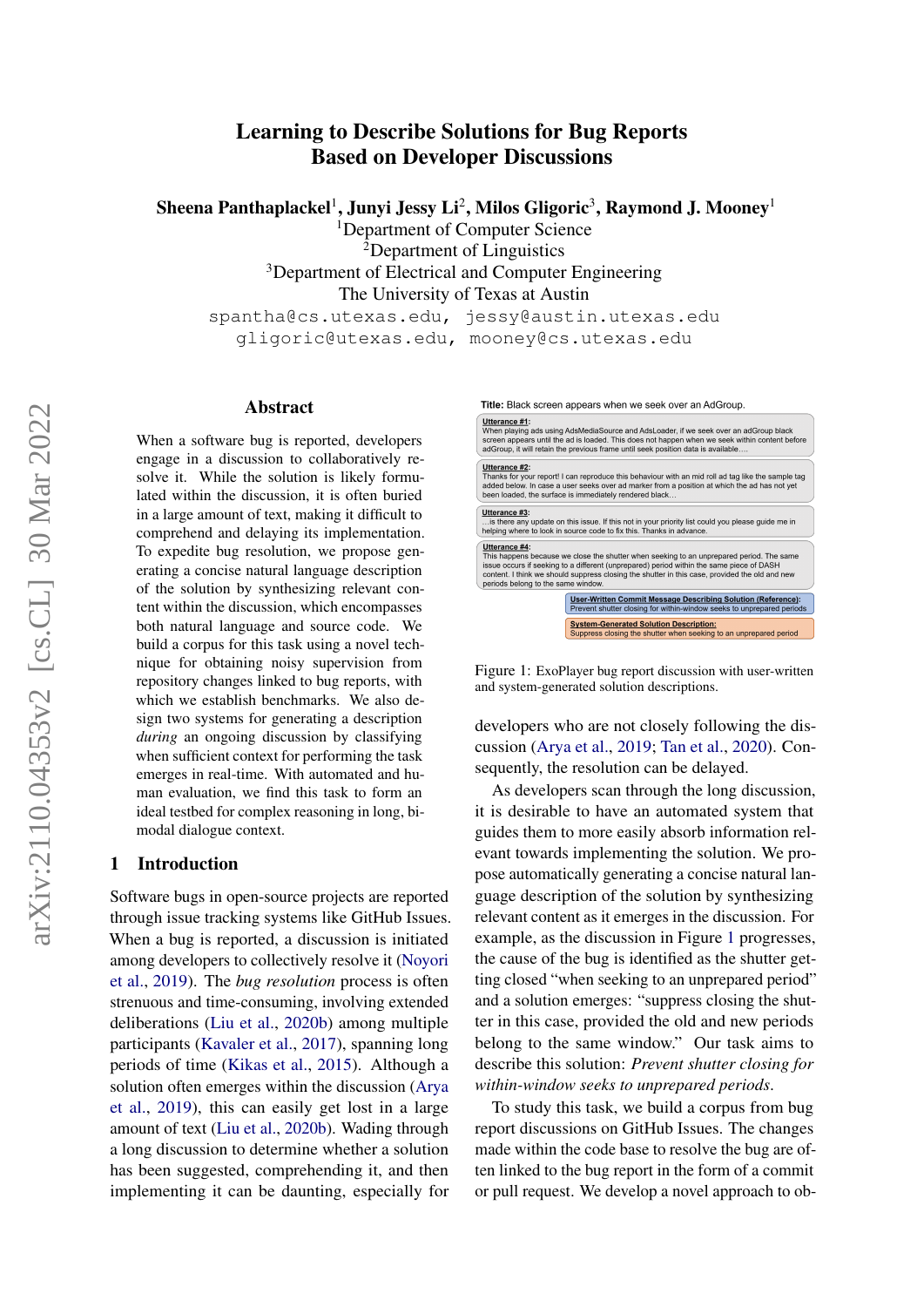# Learning to Describe Solutions for Bug Reports Based on Developer Discussions

Sheena Panthaplackel $^1$ , Junyi Jessy Li $^2$ , Milos Gligoric $^3$ , Raymond J. Mooney $^1$ 

<sup>1</sup>Department of Computer Science

<sup>2</sup>Department of Linguistics <sup>3</sup>Department of Electrical and Computer Engineering The University of Texas at Austin spantha@cs.utexas.edu, jessy@austin.utexas.edu

gligoric@utexas.edu, mooney@cs.utexas.edu

## Abstract

When a software bug is reported, developers engage in a discussion to collaboratively resolve it. While the solution is likely formulated within the discussion, it is often buried in a large amount of text, making it difficult to comprehend and delaying its implementation. To expedite bug resolution, we propose generating a concise natural language description of the solution by synthesizing relevant content within the discussion, which encompasses both natural language and source code. We build a corpus for this task using a novel technique for obtaining noisy supervision from repository changes linked to bug reports, with which we establish benchmarks. We also design two systems for generating a description *during* an ongoing discussion by classifying when sufficient context for performing the task emerges in real-time. With automated and human evaluation, we find this task to form an ideal testbed for complex reasoning in long, bimodal dialogue context.

## 1 Introduction

Software bugs in open-source projects are reported through issue tracking systems like GitHub Issues. When a bug is reported, a discussion is initiated among developers to collectively resolve it [\(Noyori](#page-10-0) [et al.,](#page-10-0) [2019\)](#page-10-0). The *bug resolution* process is often strenuous and time-consuming, involving extended deliberations [\(Liu et al.,](#page-10-1) [2020b\)](#page-10-1) among multiple participants [\(Kavaler et al.,](#page-9-0) [2017\)](#page-9-0), spanning long periods of time [\(Kikas et al.,](#page-10-2) [2015\)](#page-10-2). Although a solution often emerges within the discussion [\(Arya](#page-9-1) [et al.,](#page-9-1) [2019\)](#page-9-1), this can easily get lost in a large amount of text [\(Liu et al.,](#page-10-1) [2020b\)](#page-10-1). Wading through a long discussion to determine whether a solution has been suggested, comprehending it, and then implementing it can be daunting, especially for

<span id="page-0-0"></span>

Figure 1: ExoPlayer bug report discussion with user-written and system-generated solution descriptions.

developers who are not closely following the discussion [\(Arya et al.,](#page-9-1) [2019;](#page-9-1) [Tan et al.,](#page-10-3) [2020\)](#page-10-3). Consequently, the resolution can be delayed.

As developers scan through the long discussion, it is desirable to have an automated system that guides them to more easily absorb information relevant towards implementing the solution. We propose automatically generating a concise natural language description of the solution by synthesizing relevant content as it emerges in the discussion. For example, as the discussion in Figure [1](#page-0-0) progresses, the cause of the bug is identified as the shutter getting closed "when seeking to an unprepared period" and a solution emerges: "suppress closing the shutter in this case, provided the old and new periods belong to the same window." Our task aims to describe this solution: *Prevent shutter closing for within-window seeks to unprepared periods*.

To study this task, we build a corpus from bug report discussions on GitHub Issues. The changes made within the code base to resolve the bug are often linked to the bug report in the form of a commit or pull request. We develop a novel approach to ob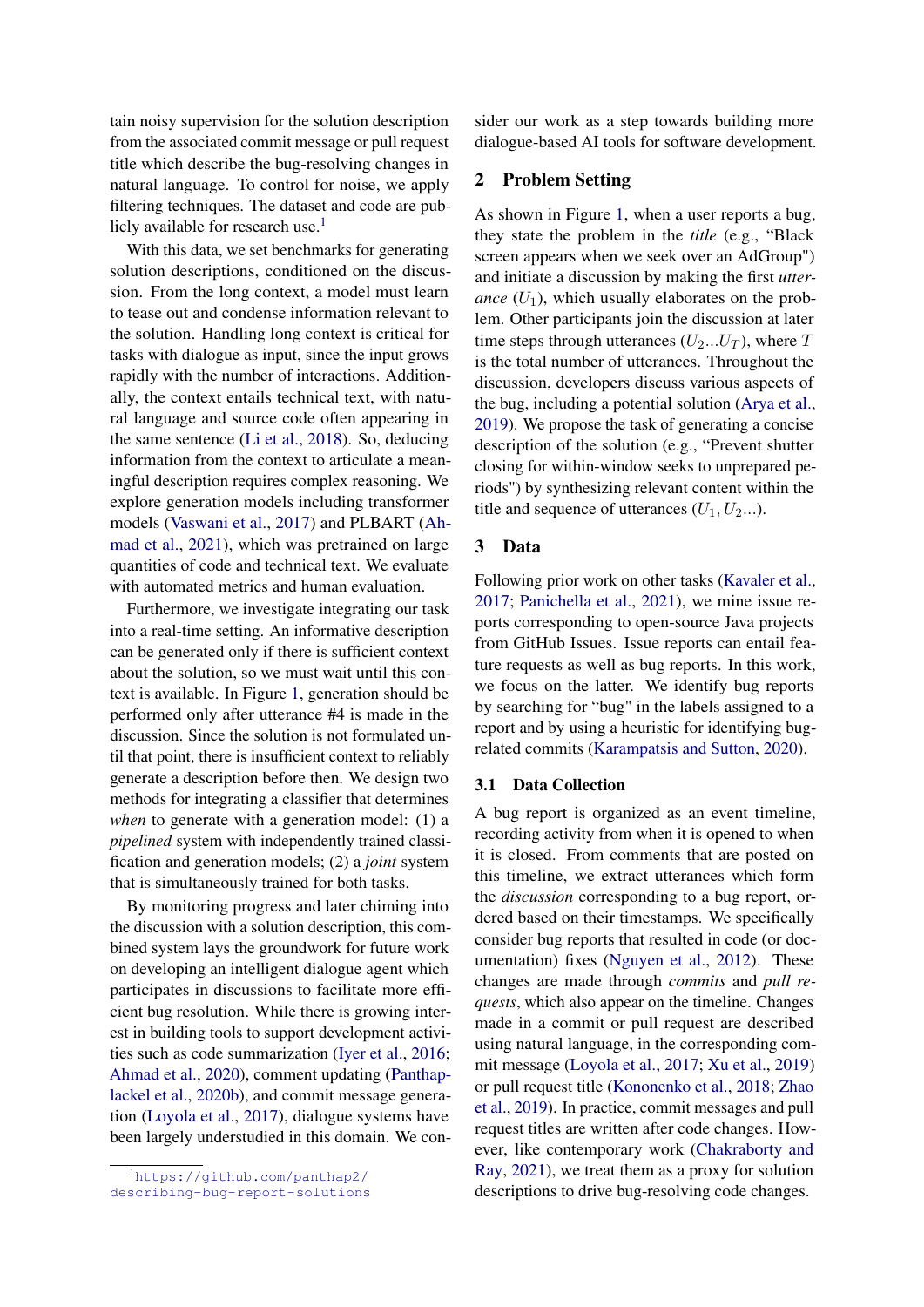tain noisy supervision for the solution description from the associated commit message or pull request title which describe the bug-resolving changes in natural language. To control for noise, we apply filtering techniques. The dataset and code are pub-licly available for research use.<sup>[1](#page-1-0)</sup>

With this data, we set benchmarks for generating solution descriptions, conditioned on the discussion. From the long context, a model must learn to tease out and condense information relevant to the solution. Handling long context is critical for tasks with dialogue as input, since the input grows rapidly with the number of interactions. Additionally, the context entails technical text, with natural language and source code often appearing in the same sentence [\(Li et al.,](#page-10-4) [2018\)](#page-10-4). So, deducing information from the context to articulate a meaningful description requires complex reasoning. We explore generation models including transformer models [\(Vaswani et al.,](#page-10-5) [2017\)](#page-10-5) and PLBART [\(Ah](#page-9-2)[mad et al.,](#page-9-2) [2021\)](#page-9-2), which was pretrained on large quantities of code and technical text. We evaluate with automated metrics and human evaluation.

Furthermore, we investigate integrating our task into a real-time setting. An informative description can be generated only if there is sufficient context about the solution, so we must wait until this context is available. In Figure [1,](#page-0-0) generation should be performed only after utterance #4 is made in the discussion. Since the solution is not formulated until that point, there is insufficient context to reliably generate a description before then. We design two methods for integrating a classifier that determines *when* to generate with a generation model: (1) a *pipelined* system with independently trained classification and generation models; (2) a *joint* system that is simultaneously trained for both tasks.

By monitoring progress and later chiming into the discussion with a solution description, this combined system lays the groundwork for future work on developing an intelligent dialogue agent which participates in discussions to facilitate more efficient bug resolution. While there is growing interest in building tools to support development activities such as code summarization [\(Iyer et al.,](#page-9-3) [2016;](#page-9-3) [Ahmad et al.,](#page-9-4) [2020\)](#page-9-4), comment updating [\(Panthap](#page-10-6)[lackel et al.,](#page-10-6) [2020b\)](#page-10-6), and commit message generation [\(Loyola et al.,](#page-10-7) [2017\)](#page-10-7), dialogue systems have been largely understudied in this domain. We con-

<span id="page-1-0"></span><sup>1</sup>[https://github.com/panthap2/](https://github.com/panthap2/describing-bug-report-solutions) [describing-bug-report-solutions](https://github.com/panthap2/describing-bug-report-solutions) sider our work as a step towards building more dialogue-based AI tools for software development.

# 2 Problem Setting

As shown in Figure [1,](#page-0-0) when a user reports a bug, they state the problem in the *title* (e.g., "Black screen appears when we seek over an AdGroup") and initiate a discussion by making the first *utterance*  $(U_1)$ , which usually elaborates on the problem. Other participants join the discussion at later time steps through utterances  $(U_2...U_T)$ , where T is the total number of utterances. Throughout the discussion, developers discuss various aspects of the bug, including a potential solution [\(Arya et al.,](#page-9-1) [2019\)](#page-9-1). We propose the task of generating a concise description of the solution (e.g., "Prevent shutter closing for within-window seeks to unprepared periods") by synthesizing relevant content within the title and sequence of utterances  $(U_1, U_2...)$ .

#### 3 Data

Following prior work on other tasks [\(Kavaler et al.,](#page-9-0) [2017;](#page-9-0) [Panichella et al.,](#page-10-8) [2021\)](#page-10-8), we mine issue reports corresponding to open-source Java projects from GitHub Issues. Issue reports can entail feature requests as well as bug reports. In this work, we focus on the latter. We identify bug reports by searching for "bug" in the labels assigned to a report and by using a heuristic for identifying bugrelated commits [\(Karampatsis and Sutton,](#page-9-5) [2020\)](#page-9-5).

# <span id="page-1-1"></span>3.1 Data Collection

A bug report is organized as an event timeline, recording activity from when it is opened to when it is closed. From comments that are posted on this timeline, we extract utterances which form the *discussion* corresponding to a bug report, ordered based on their timestamps. We specifically consider bug reports that resulted in code (or documentation) fixes [\(Nguyen et al.,](#page-10-9) [2012\)](#page-10-9). These changes are made through *commits* and *pull requests*, which also appear on the timeline. Changes made in a commit or pull request are described using natural language, in the corresponding commit message [\(Loyola et al.,](#page-10-7) [2017;](#page-10-7) [Xu et al.,](#page-11-0) [2019\)](#page-11-0) or pull request title [\(Kononenko et al.,](#page-10-10) [2018;](#page-10-10) [Zhao](#page-11-1) [et al.,](#page-11-1) [2019\)](#page-11-1). In practice, commit messages and pull request titles are written after code changes. However, like contemporary work [\(Chakraborty and](#page-9-6) [Ray,](#page-9-6) [2021\)](#page-9-6), we treat them as a proxy for solution descriptions to drive bug-resolving code changes.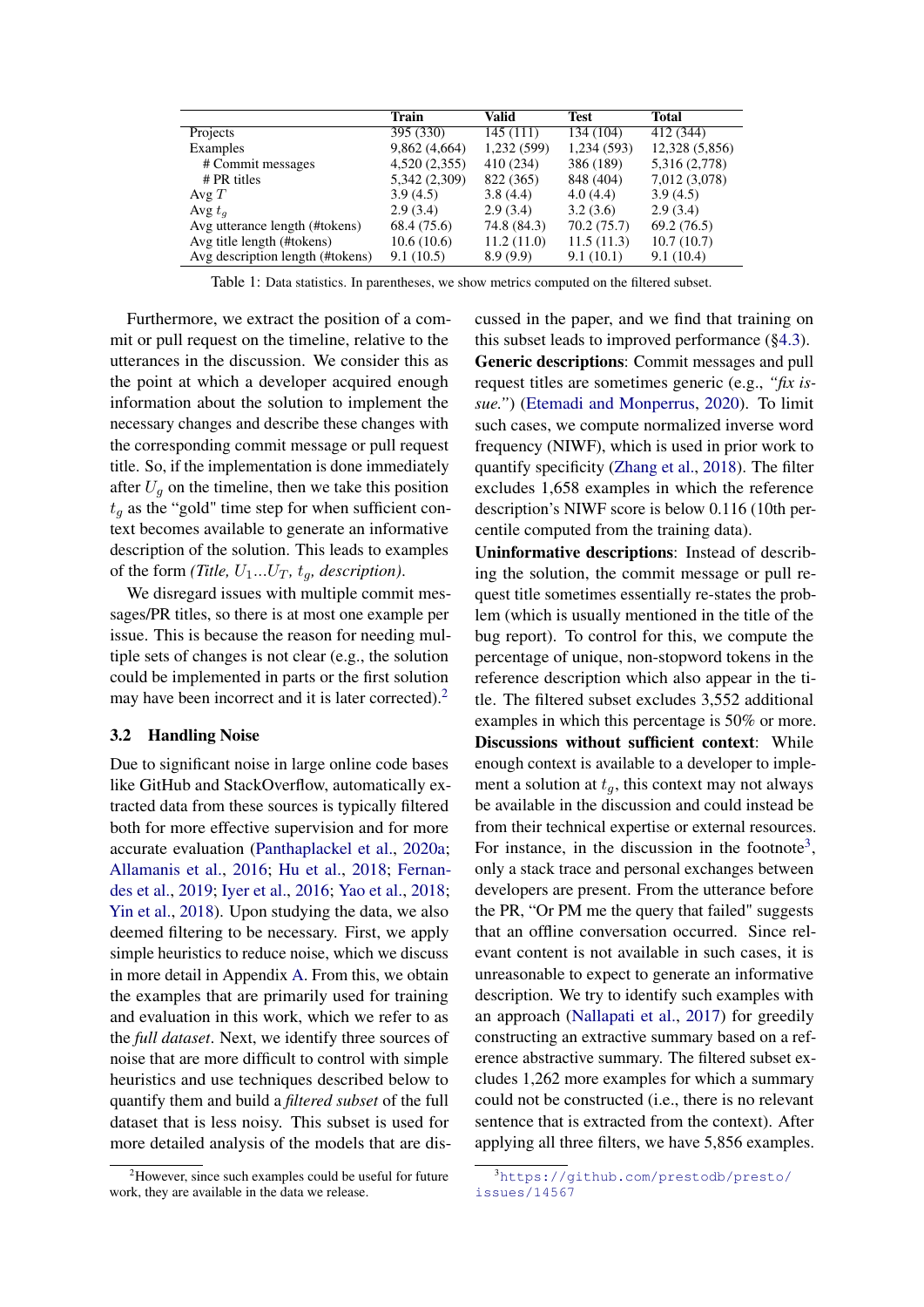<span id="page-2-2"></span>

|                                  | <b>Train</b>  | Valid       | <b>Test</b> | <b>Total</b>   |
|----------------------------------|---------------|-------------|-------------|----------------|
| Projects                         | 395 (330)     | 145(111)    | 134 (104)   | 412 (344)      |
| Examples                         | 9,862(4,664)  | 1,232 (599) | 1,234 (593) | 12,328 (5,856) |
| # Commit messages                | 4,520 (2,355) | 410 (234)   | 386 (189)   | 5,316 (2,778)  |
| $# PR$ titles                    | 5,342 (2,309) | 822 (365)   | 848 (404)   | 7,012 (3,078)  |
| Avg $T$                          | 3.9(4.5)      | 3.8(4.4)    | 4.0(4.4)    | 3.9(4.5)       |
| Avg $t_a$                        | 2.9(3.4)      | 2.9(3.4)    | 3.2(3.6)    | 2.9(3.4)       |
| Avg utterance length (#tokens)   | 68.4 (75.6)   | 74.8 (84.3) | 70.2(75.7)  | 69.2(76.5)     |
| Avg title length (#tokens)       | 10.6(10.6)    | 11.2(11.0)  | 11.5(11.3)  | 10.7(10.7)     |
| Avg description length (#tokens) | 9.1(10.5)     | 8.9(9.9)    | 9.1(10.1)   | 9.1(10.4)      |

Table 1: Data statistics. In parentheses, we show metrics computed on the filtered subset.

Furthermore, we extract the position of a commit or pull request on the timeline, relative to the utterances in the discussion. We consider this as the point at which a developer acquired enough information about the solution to implement the necessary changes and describe these changes with the corresponding commit message or pull request title. So, if the implementation is done immediately after  $U_q$  on the timeline, then we take this position  $t_q$  as the "gold" time step for when sufficient context becomes available to generate an informative description of the solution. This leads to examples of the form *(Title,*  $U_1...U_T$ *,*  $t_q$ *, description)*.

We disregard issues with multiple commit messages/PR titles, so there is at most one example per issue. This is because the reason for needing multiple sets of changes is not clear (e.g., the solution could be implemented in parts or the first solution may have been incorrect and it is later corrected).<sup>[2](#page-2-0)</sup>

## <span id="page-2-3"></span>3.2 Handling Noise

Due to significant noise in large online code bases like GitHub and StackOverflow, automatically extracted data from these sources is typically filtered both for more effective supervision and for more accurate evaluation [\(Panthaplackel et al.,](#page-10-11) [2020a;](#page-10-11) [Allamanis et al.,](#page-9-7) [2016;](#page-9-7) [Hu et al.,](#page-9-8) [2018;](#page-9-8) [Fernan](#page-9-9)[des et al.,](#page-9-9) [2019;](#page-9-9) [Iyer et al.,](#page-9-3) [2016;](#page-9-3) [Yao et al.,](#page-11-2) [2018;](#page-11-2) [Yin et al.,](#page-11-3) [2018\)](#page-11-3). Upon studying the data, we also deemed filtering to be necessary. First, we apply simple heuristics to reduce noise, which we discuss in more detail in Appendix [A.](#page-12-0) From this, we obtain the examples that are primarily used for training and evaluation in this work, which we refer to as the *full dataset*. Next, we identify three sources of noise that are more difficult to control with simple heuristics and use techniques described below to quantify them and build a *filtered subset* of the full dataset that is less noisy. This subset is used for more detailed analysis of the models that are discussed in the paper, and we find that training on this subset leads to improved performance ([§4.3\)](#page-4-0). Generic descriptions: Commit messages and pull request titles are sometimes generic (e.g., *"fix issue."*) [\(Etemadi and Monperrus,](#page-9-10) [2020\)](#page-9-10). To limit such cases, we compute normalized inverse word frequency (NIWF), which is used in prior work to quantify specificity [\(Zhang et al.,](#page-11-4) [2018\)](#page-11-4). The filter excludes 1,658 examples in which the reference description's NIWF score is below 0.116 (10th percentile computed from the training data).

Uninformative descriptions: Instead of describing the solution, the commit message or pull request title sometimes essentially re-states the problem (which is usually mentioned in the title of the bug report). To control for this, we compute the percentage of unique, non-stopword tokens in the reference description which also appear in the title. The filtered subset excludes 3,552 additional examples in which this percentage is 50% or more. Discussions without sufficient context: While enough context is available to a developer to implement a solution at  $t_q$ , this context may not always be available in the discussion and could instead be from their technical expertise or external resources. For instance, in the discussion in the footnote<sup>[3](#page-2-1)</sup>, only a stack trace and personal exchanges between developers are present. From the utterance before the PR, "Or PM me the query that failed" suggests that an offline conversation occurred. Since relevant content is not available in such cases, it is unreasonable to expect to generate an informative description. We try to identify such examples with an approach [\(Nallapati et al.,](#page-10-12) [2017\)](#page-10-12) for greedily constructing an extractive summary based on a reference abstractive summary. The filtered subset excludes 1,262 more examples for which a summary could not be constructed (i.e., there is no relevant sentence that is extracted from the context). After applying all three filters, we have 5,856 examples.

<span id="page-2-0"></span><sup>&</sup>lt;sup>2</sup>However, since such examples could be useful for future work, they are available in the data we release.

<span id="page-2-1"></span><sup>3</sup>[https://github.com/prestodb/presto/](https://github.com/prestodb/presto/issues/14567) [issues/14567](https://github.com/prestodb/presto/issues/14567)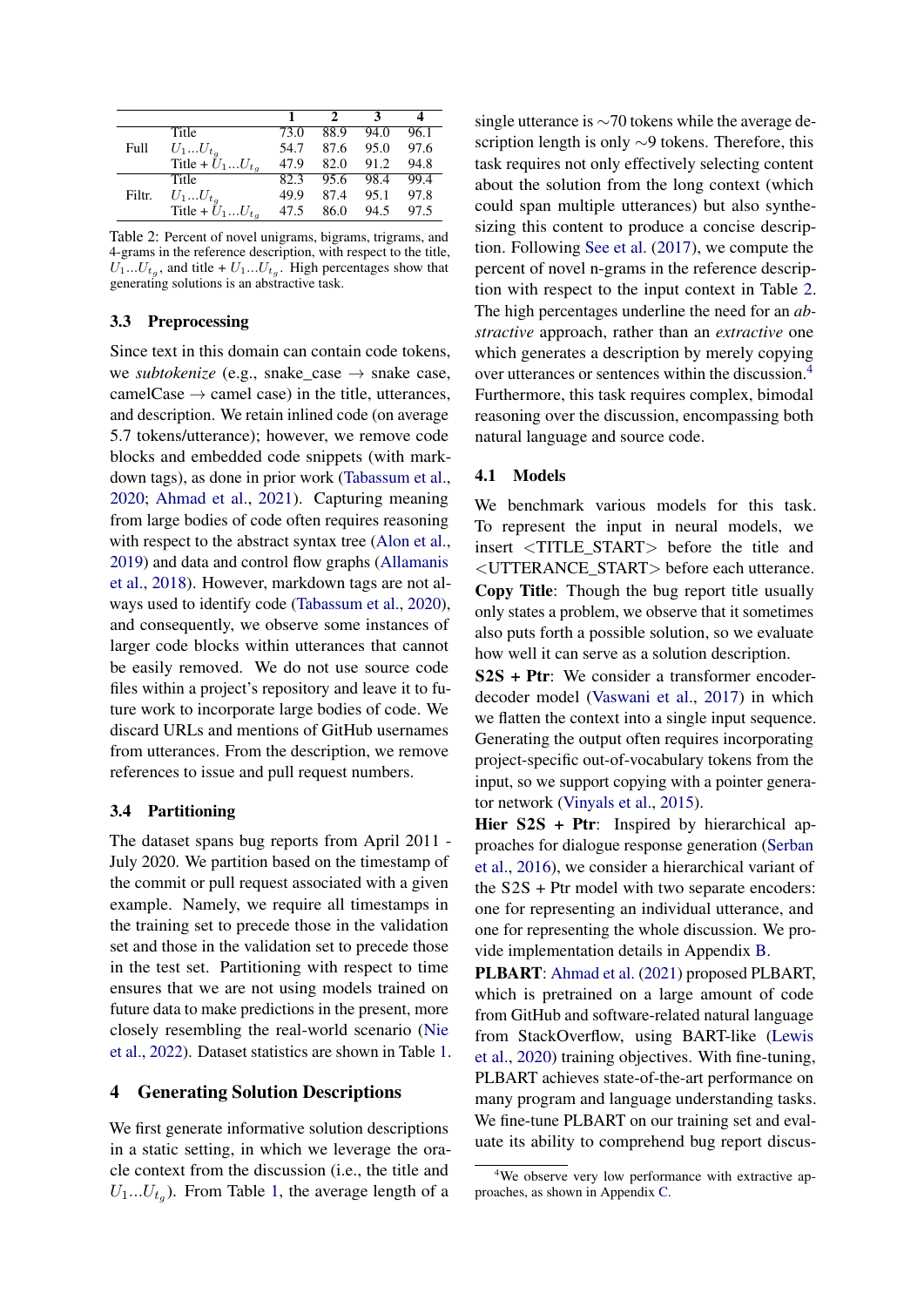<span id="page-3-0"></span>

|        | Title                        | 73.0 | 88.9 | 94.0 | 96.1 |
|--------|------------------------------|------|------|------|------|
| Full   | $U_1U_{t_q}$                 | 54.7 | 87.6 | 95.0 | 97.6 |
|        | Title + $U_1U_{t_q}$         | 47.9 | 82.0 | 91.2 | 94.8 |
|        | Title                        | 82.3 | 95.6 | 98.4 | 99.4 |
| Filtr. | $U_1U_{t_g}$                 | 49.9 | 87.4 | 95.1 | 97.8 |
|        | Title + $\tilde{U}_1U_{t_q}$ | 47.5 | 86.0 | 94.5 | 97.5 |

Table 2: Percent of novel unigrams, bigrams, trigrams, and 4-grams in the reference description, with respect to the title,  $U_1...U_{t_g}$ , and title +  $U_1...U_{t_g}$ . High percentages show that generating solutions is an abstractive task.

## 3.3 Preprocessing

Since text in this domain can contain code tokens, we *subtokenize* (e.g., snake\_case  $\rightarrow$  snake case, camelCase  $\rightarrow$  camel case) in the title, utterances, and description. We retain inlined code (on average 5.7 tokens/utterance); however, we remove code blocks and embedded code snippets (with markdown tags), as done in prior work [\(Tabassum et al.,](#page-10-13) [2020;](#page-10-13) [Ahmad et al.,](#page-9-2) [2021\)](#page-9-2). Capturing meaning from large bodies of code often requires reasoning with respect to the abstract syntax tree [\(Alon et al.,](#page-9-11) [2019\)](#page-9-11) and data and control flow graphs [\(Allamanis](#page-9-12) [et al.,](#page-9-12) [2018\)](#page-9-12). However, markdown tags are not always used to identify code [\(Tabassum et al.,](#page-10-13) [2020\)](#page-10-13), and consequently, we observe some instances of larger code blocks within utterances that cannot be easily removed. We do not use source code files within a project's repository and leave it to future work to incorporate large bodies of code. We discard URLs and mentions of GitHub usernames from utterances. From the description, we remove references to issue and pull request numbers.

#### 3.4 Partitioning

The dataset spans bug reports from April 2011 - July 2020. We partition based on the timestamp of the commit or pull request associated with a given example. Namely, we require all timestamps in the training set to precede those in the validation set and those in the validation set to precede those in the test set. Partitioning with respect to time ensures that we are not using models trained on future data to make predictions in the present, more closely resembling the real-world scenario [\(Nie](#page-10-14) [et al.,](#page-10-14) [2022\)](#page-10-14). Dataset statistics are shown in Table [1.](#page-2-2)

## 4 Generating Solution Descriptions

We first generate informative solution descriptions in a static setting, in which we leverage the oracle context from the discussion (i.e., the title and  $U_1...U_{t_g}$ ). From Table [1,](#page-2-2) the average length of a

single utterance is ∼70 tokens while the average description length is only ∼9 tokens. Therefore, this task requires not only effectively selecting content about the solution from the long context (which could span multiple utterances) but also synthesizing this content to produce a concise description. Following [See et al.](#page-10-15) [\(2017\)](#page-10-15), we compute the percent of novel n-grams in the reference description with respect to the input context in Table [2.](#page-3-0) The high percentages underline the need for an *abstractive* approach, rather than an *extractive* one which generates a description by merely copying over utterances or sentences within the discussion.[4](#page-3-1) Furthermore, this task requires complex, bimodal reasoning over the discussion, encompassing both natural language and source code.

#### <span id="page-3-2"></span>4.1 Models

We benchmark various models for this task. To represent the input in neural models, we insert <TITLE\_START> before the title and <UTTERANCE\_START> before each utterance. Copy Title: Though the bug report title usually only states a problem, we observe that it sometimes also puts forth a possible solution, so we evaluate how well it can serve as a solution description.

S2S + Ptr: We consider a transformer encoderdecoder model [\(Vaswani et al.,](#page-10-5) [2017\)](#page-10-5) in which we flatten the context into a single input sequence. Generating the output often requires incorporating project-specific out-of-vocabulary tokens from the input, so we support copying with a pointer generator network [\(Vinyals et al.,](#page-10-16) [2015\)](#page-10-16).

Hier S2S + Ptr: Inspired by hierarchical approaches for dialogue response generation [\(Serban](#page-10-17) [et al.,](#page-10-17) [2016\)](#page-10-17), we consider a hierarchical variant of the S2S + Ptr model with two separate encoders: one for representing an individual utterance, and one for representing the whole discussion. We provide implementation details in Appendix [B.](#page-12-1)

PLBART: [Ahmad et al.](#page-9-2) [\(2021\)](#page-9-2) proposed PLBART, which is pretrained on a large amount of code from GitHub and software-related natural language from StackOverflow, using BART-like [\(Lewis](#page-10-18) [et al.,](#page-10-18) [2020\)](#page-10-18) training objectives. With fine-tuning, PLBART achieves state-of-the-art performance on many program and language understanding tasks. We fine-tune PLBART on our training set and evaluate its ability to comprehend bug report discus-

<span id="page-3-1"></span><sup>&</sup>lt;sup>4</sup>We observe very low performance with extractive approaches, as shown in Appendix [C.](#page-12-2)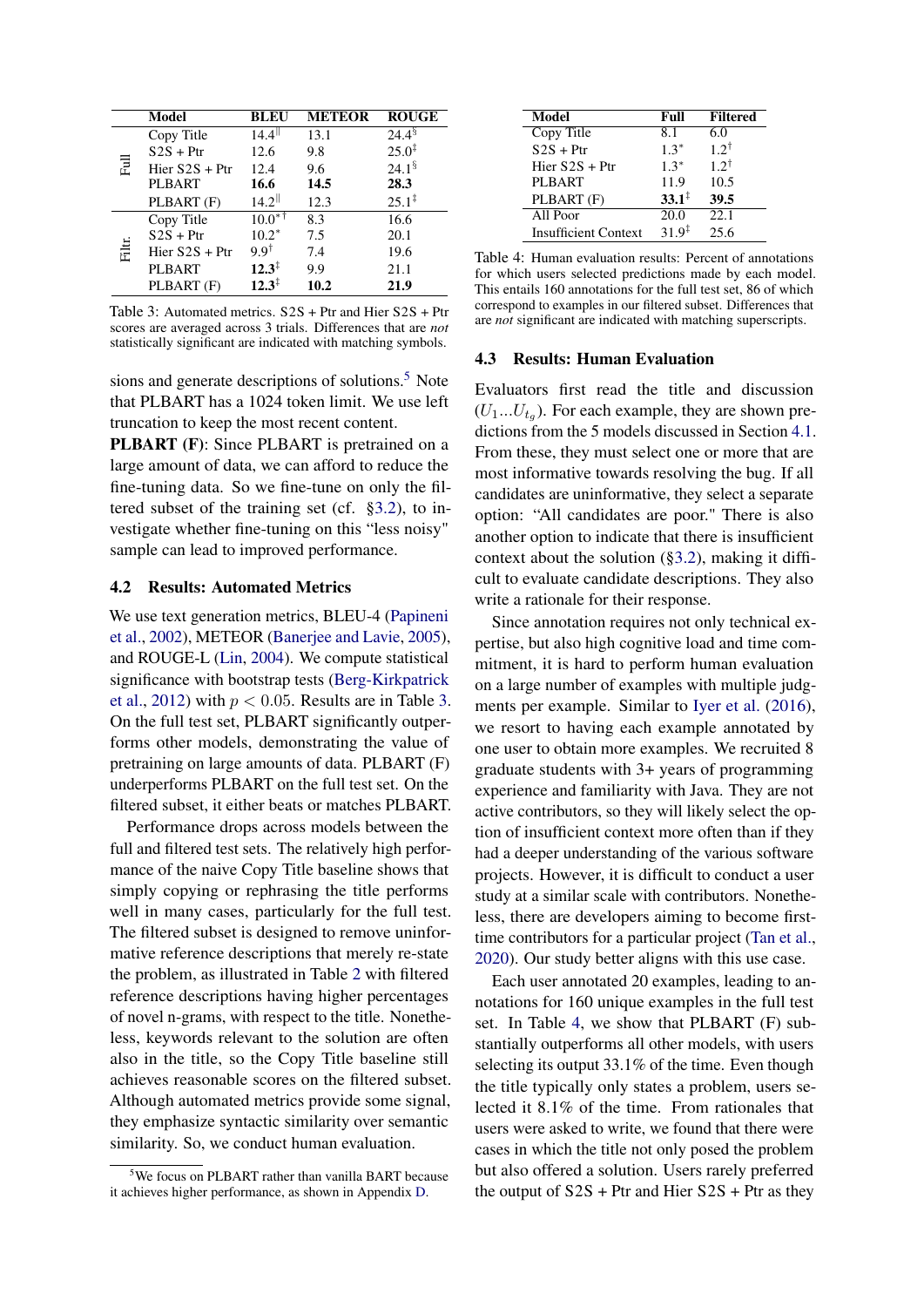<span id="page-4-2"></span>

|        | Model            | BLEU                 | <b>METEOR</b> | <b>ROUGE</b>         |
|--------|------------------|----------------------|---------------|----------------------|
|        | Copy Title       | $14.4$ <sup>  </sup> | 13.1          | $24.4^{\S}$          |
|        | $S2S + Ptr$      | 12.6                 | 9.8           | $25.0^{\ddagger}$    |
| 쿧      | Hier $S2S + Ptr$ | 12.4                 | 9.6           | $24.1^{\frac{6}{5}}$ |
|        | <b>PLBART</b>    | 16.6                 | 14.5          | 28.3                 |
|        | PLBART (F)       | $14.2$ <sup>  </sup> | 12.3          | $25.1^{\ddagger}$    |
|        | Copy Title       | $10.0^{*7}$          | 8.3           | 16.6                 |
|        | $S2S + Ptr$      | $10.2*$              | 7.5           | 20.1                 |
| Filtr. | Hier $S2S + Ptr$ | $9.9^{\dagger}$      | 7.4           | 19.6                 |
|        | PLBART           | $12.3^{\ddagger}$    | 9.9           | 21.1                 |
|        | PLBART (F)       | $12.3^{\ddagger}$    | 10.2          | 21.9                 |

Table 3: Automated metrics. S2S + Ptr and Hier S2S + Ptr scores are averaged across 3 trials. Differences that are *not* statistically significant are indicated with matching symbols.

sions and generate descriptions of solutions.<sup>[5](#page-4-1)</sup> Note that PLBART has a 1024 token limit. We use left truncation to keep the most recent content.

**PLBART** (F): Since PLBART is pretrained on a large amount of data, we can afford to reduce the fine-tuning data. So we fine-tune on only the filtered subset of the training set (cf. [§3.2\)](#page-2-3), to investigate whether fine-tuning on this "less noisy" sample can lead to improved performance.

## <span id="page-4-4"></span>4.2 Results: Automated Metrics

We use text generation metrics, BLEU-4 [\(Papineni](#page-10-19) [et al.,](#page-10-19) [2002\)](#page-10-19), METEOR [\(Banerjee and Lavie,](#page-9-13) [2005\)](#page-9-13), and ROUGE-L [\(Lin,](#page-10-20) [2004\)](#page-10-20). We compute statistical significance with bootstrap tests [\(Berg-Kirkpatrick](#page-9-14) [et al.,](#page-9-14) [2012\)](#page-9-14) with  $p < 0.05$ . Results are in Table [3.](#page-4-2) On the full test set, PLBART significantly outperforms other models, demonstrating the value of pretraining on large amounts of data. PLBART (F) underperforms PLBART on the full test set. On the filtered subset, it either beats or matches PLBART.

Performance drops across models between the full and filtered test sets. The relatively high performance of the naive Copy Title baseline shows that simply copying or rephrasing the title performs well in many cases, particularly for the full test. The filtered subset is designed to remove uninformative reference descriptions that merely re-state the problem, as illustrated in Table [2](#page-3-0) with filtered reference descriptions having higher percentages of novel n-grams, with respect to the title. Nonetheless, keywords relevant to the solution are often also in the title, so the Copy Title baseline still achieves reasonable scores on the filtered subset. Although automated metrics provide some signal, they emphasize syntactic similarity over semantic similarity. So, we conduct human evaluation.

<span id="page-4-3"></span>

| Model                       | Full              | <b>Filtered</b> |
|-----------------------------|-------------------|-----------------|
| Copy Title                  | 8.1               | 6.0             |
| $S2S + Ptr$                 | $1.3*$            | $1.2^{\dagger}$ |
| Hier $S2S + Ptr$            | $1.3*$            | $1.2^{\dagger}$ |
| <b>PLBART</b>               | 11.9              | 10.5            |
| PLBART (F)                  | $33.1^{\ddagger}$ | 39.5            |
| All Poor                    | $\overline{20.0}$ | 22.1            |
| <b>Insufficient Context</b> | $31.9^{\ddagger}$ | 25.6            |

Table 4: Human evaluation results: Percent of annotations for which users selected predictions made by each model. This entails 160 annotations for the full test set, 86 of which correspond to examples in our filtered subset. Differences that are *not* significant are indicated with matching superscripts.

#### <span id="page-4-0"></span>4.3 Results: Human Evaluation

Evaluators first read the title and discussion  $(U_1...U_{t_g})$ . For each example, they are shown predictions from the 5 models discussed in Section [4.1.](#page-3-2) From these, they must select one or more that are most informative towards resolving the bug. If all candidates are uninformative, they select a separate option: "All candidates are poor." There is also another option to indicate that there is insufficient context about the solution ([§3.2\)](#page-2-3), making it difficult to evaluate candidate descriptions. They also write a rationale for their response.

Since annotation requires not only technical expertise, but also high cognitive load and time commitment, it is hard to perform human evaluation on a large number of examples with multiple judgments per example. Similar to [Iyer et al.](#page-9-3) [\(2016\)](#page-9-3), we resort to having each example annotated by one user to obtain more examples. We recruited 8 graduate students with 3+ years of programming experience and familiarity with Java. They are not active contributors, so they will likely select the option of insufficient context more often than if they had a deeper understanding of the various software projects. However, it is difficult to conduct a user study at a similar scale with contributors. Nonetheless, there are developers aiming to become firsttime contributors for a particular project [\(Tan et al.,](#page-10-3) [2020\)](#page-10-3). Our study better aligns with this use case.

Each user annotated 20 examples, leading to annotations for 160 unique examples in the full test set. In Table [4,](#page-4-3) we show that PLBART (F) substantially outperforms all other models, with users selecting its output 33.1% of the time. Even though the title typically only states a problem, users selected it 8.1% of the time. From rationales that users were asked to write, we found that there were cases in which the title not only posed the problem but also offered a solution. Users rarely preferred the output of  $S2S$  + Ptr and Hier  $S2S$  + Ptr as they

<span id="page-4-1"></span><sup>&</sup>lt;sup>5</sup>We focus on PLBART rather than vanilla BART because it achieves higher performance, as shown in Appendix [D.](#page-14-0)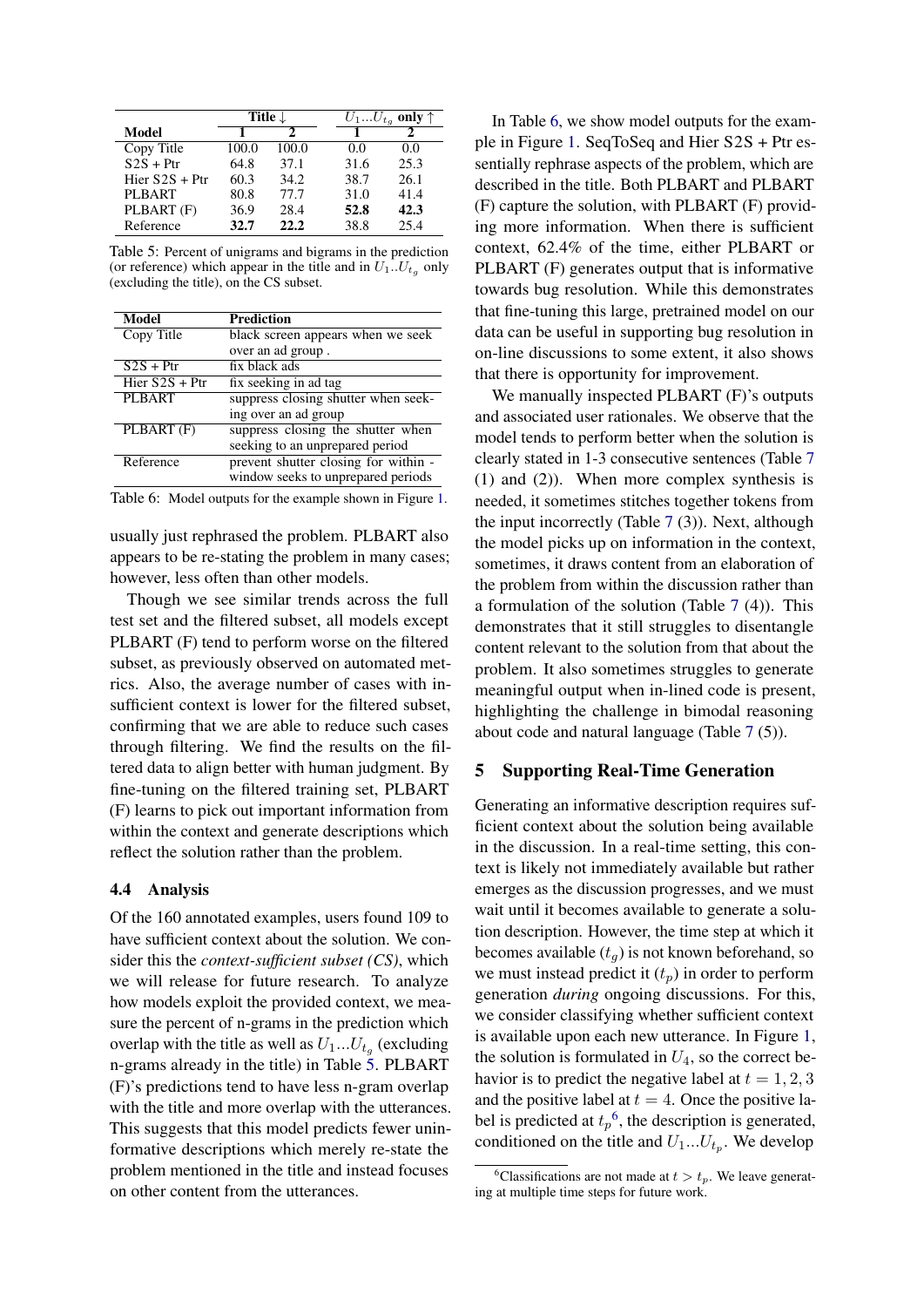<span id="page-5-0"></span>

|                  | Title $\downarrow$ |       |      | $U_1U_{t_q}$ only $\uparrow$ |
|------------------|--------------------|-------|------|------------------------------|
| Model            |                    |       |      |                              |
| Copy Title       | 100.0              | 100.0 | 0.0  | 0.0                          |
| $S2S + Ptr$      | 64.8               | 37.1  | 31.6 | 25.3                         |
| Hier $S2S + Ptr$ | 60.3               | 34.2  | 38.7 | 26.1                         |
| PLBART           | 80.8               | 77.7  | 31.0 | 41.4                         |
| PLBART (F)       | 36.9               | 28.4  | 52.8 | 42.3                         |
| Reference        | 32.7               | 22.2  | 38.8 | 25.4                         |

Table 5: Percent of unigrams and bigrams in the prediction (or reference) which appear in the title and in  $U_1...U_{t_q}$  only (excluding the title), on the CS subset.

<span id="page-5-1"></span>

| Model            | Prediction                           |
|------------------|--------------------------------------|
| Copy Title       | black screen appears when we seek    |
|                  | over an ad group.                    |
| $S2S + Ptr$      | fix black ads                        |
| Hier $S2S + Ptr$ | fix seeking in ad tag                |
| <b>PLBART</b>    | suppress closing shutter when seek-  |
|                  | ing over an ad group                 |
| $PLBART$ $(F)$   | suppress closing the shutter when    |
|                  | seeking to an unprepared period      |
| Reference        | prevent shutter closing for within - |
|                  | window seeks to unprepared periods   |

Table 6: Model outputs for the example shown in Figure [1.](#page-0-0)

usually just rephrased the problem. PLBART also appears to be re-stating the problem in many cases; however, less often than other models.

Though we see similar trends across the full test set and the filtered subset, all models except PLBART (F) tend to perform worse on the filtered subset, as previously observed on automated metrics. Also, the average number of cases with insufficient context is lower for the filtered subset, confirming that we are able to reduce such cases through filtering. We find the results on the filtered data to align better with human judgment. By fine-tuning on the filtered training set, PLBART (F) learns to pick out important information from within the context and generate descriptions which reflect the solution rather than the problem.

## <span id="page-5-3"></span>4.4 Analysis

Of the 160 annotated examples, users found 109 to have sufficient context about the solution. We consider this the *context-sufficient subset (CS)*, which we will release for future research. To analyze how models exploit the provided context, we measure the percent of n-grams in the prediction which overlap with the title as well as  $U_1...U_{t_g}$  (excluding n-grams already in the title) in Table [5.](#page-5-0) PLBART (F)'s predictions tend to have less n-gram overlap with the title and more overlap with the utterances. This suggests that this model predicts fewer uninformative descriptions which merely re-state the problem mentioned in the title and instead focuses on other content from the utterances.

In Table [6,](#page-5-1) we show model outputs for the example in Figure [1.](#page-0-0) SeqToSeq and Hier S2S + Ptr essentially rephrase aspects of the problem, which are described in the title. Both PLBART and PLBART (F) capture the solution, with PLBART (F) providing more information. When there is sufficient context, 62.4% of the time, either PLBART or PLBART (F) generates output that is informative towards bug resolution. While this demonstrates that fine-tuning this large, pretrained model on our data can be useful in supporting bug resolution in on-line discussions to some extent, it also shows that there is opportunity for improvement.

We manually inspected PLBART (F)'s outputs and associated user rationales. We observe that the model tends to perform better when the solution is clearly stated in 1-3 consecutive sentences (Table [7](#page-6-0) (1) and (2)). When more complex synthesis is needed, it sometimes stitches together tokens from the input incorrectly (Table [7](#page-6-0) (3)). Next, although the model picks up on information in the context, sometimes, it draws content from an elaboration of the problem from within the discussion rather than a formulation of the solution (Table [7](#page-6-0) (4)). This demonstrates that it still struggles to disentangle content relevant to the solution from that about the problem. It also sometimes struggles to generate meaningful output when in-lined code is present, highlighting the challenge in bimodal reasoning about code and natural language (Table [7](#page-6-0) (5)).

## 5 Supporting Real-Time Generation

Generating an informative description requires sufficient context about the solution being available in the discussion. In a real-time setting, this context is likely not immediately available but rather emerges as the discussion progresses, and we must wait until it becomes available to generate a solution description. However, the time step at which it becomes available  $(t_q)$  is not known beforehand, so we must instead predict it  $(t_p)$  in order to perform generation *during* ongoing discussions. For this, we consider classifying whether sufficient context is available upon each new utterance. In Figure [1,](#page-0-0) the solution is formulated in  $U_4$ , so the correct behavior is to predict the negative label at  $t = 1, 2, 3$ and the positive label at  $t = 4$ . Once the positive label is predicted at  $t_p$ <sup>[6](#page-5-2)</sup>, the description is generated, conditioned on the title and  $U_1...U_{t_p}$ . We develop

<span id="page-5-2"></span><sup>&</sup>lt;sup>6</sup>Classifications are not made at  $t > t_p$ . We leave generating at multiple time steps for future work.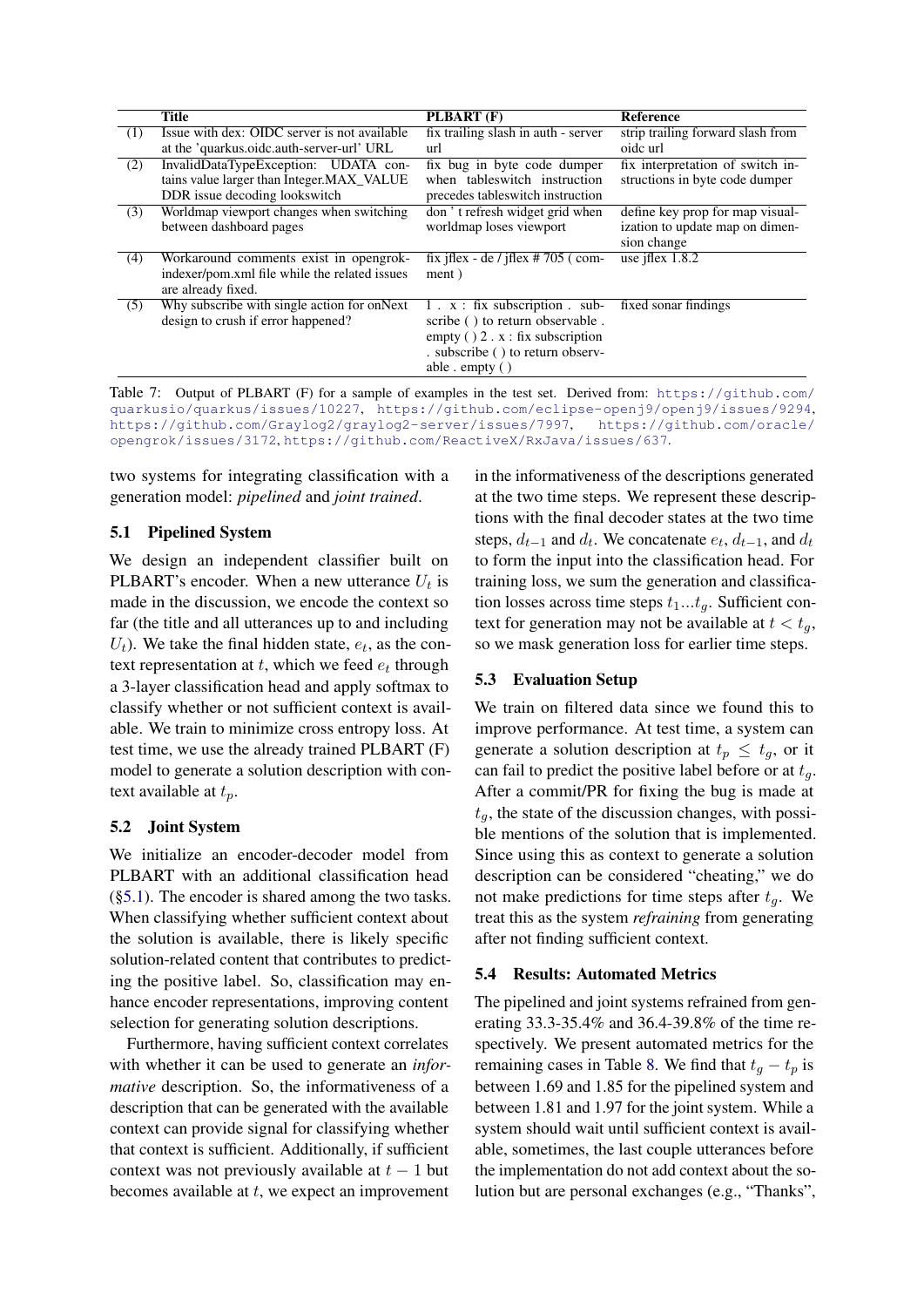<span id="page-6-0"></span>

|     | <b>Title</b>                                  | PLBART (F)                               | <b>Reference</b>                  |
|-----|-----------------------------------------------|------------------------------------------|-----------------------------------|
| (1) | Issue with dex: OIDC server is not available  | fix trailing slash in auth - server      | strip trailing forward slash from |
|     | at the 'quarkus.oidc.auth-server-url' URL     | url                                      | oide url                          |
| (2) | InvalidDataTypeException: UDATA con-          | fix bug in byte code dumper              | fix interpretation of switch in-  |
|     | tains value larger than Integer.MAX_VALUE     | when tables witch instruction            | structions in byte code dumper    |
|     | DDR issue decoding lookswitch                 | precedes tables witch instruction        |                                   |
| (3) | Worldmap viewport changes when switching      | don't refresh widget grid when           | define key prop for map visual-   |
|     | between dashboard pages                       | worldmap loses viewport                  | ization to update map on dimen-   |
|     |                                               |                                          | sion change                       |
| (4) | Workaround comments exist in opengrok-        | fix if $ex - de$ / if $ex \ne 705$ (com- | use jflex $1.8.2$                 |
|     | indexer/pom.xml file while the related issues | ment)                                    |                                   |
|     | are already fixed.                            |                                          |                                   |
| (5) | Why subscribe with single action for onNext   | $1 \cdot x$ : fix subscription . sub-    | fixed sonar findings              |
|     | design to crush if error happened?            | scribe () to return observable.          |                                   |
|     |                                               | empty $( ) 2 \cdot x : fix$ subscription |                                   |
|     |                                               | . subscribe () to return observ-         |                                   |
|     |                                               | able $\epsilon$ empty ( )                |                                   |

Table 7: Output of PLBART (F) for a sample of examples in the test set. Derived from: [https://github.com/](https://github.com/quarkusio/quarkus/issues/10227) [quarkusio/quarkus/issues/10227](https://github.com/quarkusio/quarkus/issues/10227), <https://github.com/eclipse-openj9/openj9/issues/9294>, <https://github.com/Graylog2/graylog2-server/issues/7997>, [https://github.com/oracle/](https://github.com/oracle/opengrok/issues/3172) [opengrok/issues/3172](https://github.com/oracle/opengrok/issues/3172), <https://github.com/ReactiveX/RxJava/issues/637>.

two systems for integrating classification with a generation model: *pipelined* and *joint trained*.

## <span id="page-6-1"></span>5.1 Pipelined System

We design an independent classifier built on PLBART's encoder. When a new utterance  $U_t$  is made in the discussion, we encode the context so far (the title and all utterances up to and including  $U_t$ ). We take the final hidden state,  $e_t$ , as the context representation at  $t$ , which we feed  $e_t$  through a 3-layer classification head and apply softmax to classify whether or not sufficient context is available. We train to minimize cross entropy loss. At test time, we use the already trained PLBART (F) model to generate a solution description with context available at  $t_p$ .

## 5.2 Joint System

We initialize an encoder-decoder model from PLBART with an additional classification head ([§5.1\)](#page-6-1). The encoder is shared among the two tasks. When classifying whether sufficient context about the solution is available, there is likely specific solution-related content that contributes to predicting the positive label. So, classification may enhance encoder representations, improving content selection for generating solution descriptions.

Furthermore, having sufficient context correlates with whether it can be used to generate an *informative* description. So, the informativeness of a description that can be generated with the available context can provide signal for classifying whether that context is sufficient. Additionally, if sufficient context was not previously available at  $t - 1$  but becomes available at  $t$ , we expect an improvement

in the informativeness of the descriptions generated at the two time steps. We represent these descriptions with the final decoder states at the two time steps,  $d_{t-1}$  and  $d_t$ . We concatenate  $e_t$ ,  $d_{t-1}$ , and  $d_t$ to form the input into the classification head. For training loss, we sum the generation and classification losses across time steps  $t_1...t_q$ . Sufficient context for generation may not be available at  $t < t_q$ , so we mask generation loss for earlier time steps.

## 5.3 Evaluation Setup

We train on filtered data since we found this to improve performance. At test time, a system can generate a solution description at  $t_p \n\t\leq t_q$ , or it can fail to predict the positive label before or at  $t<sub>q</sub>$ . After a commit/PR for fixing the bug is made at  $t_q$ , the state of the discussion changes, with possible mentions of the solution that is implemented. Since using this as context to generate a solution description can be considered "cheating," we do not make predictions for time steps after  $t<sub>q</sub>$ . We treat this as the system *refraining* from generating after not finding sufficient context.

## 5.4 Results: Automated Metrics

The pipelined and joint systems refrained from generating 33.3-35.4% and 36.4-39.8% of the time respectively. We present automated metrics for the remaining cases in Table [8.](#page-7-0) We find that  $t_q - t_p$  is between 1.69 and 1.85 for the pipelined system and between 1.81 and 1.97 for the joint system. While a system should wait until sufficient context is available, sometimes, the last couple utterances before the implementation do not add context about the solution but are personal exchanges (e.g., "Thanks",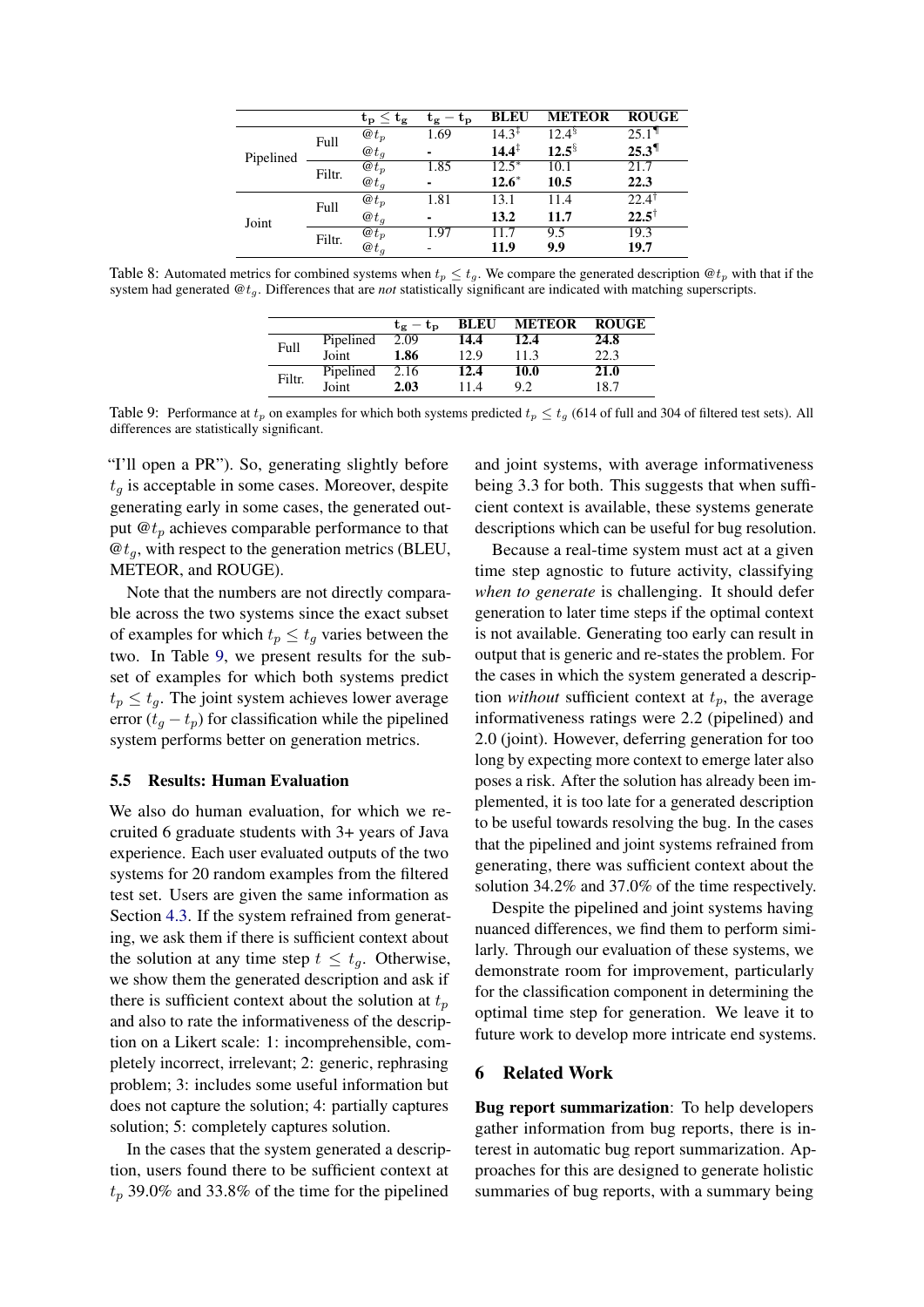<span id="page-7-0"></span>

|           |        | $\mathbf{t_{p}} \leq \mathbf{t_{g}}$ | $-\mathrm{t}_{\mathrm{p}}$<br>Ūα | <b>BLEU</b>       | <b>METEOR</b>        | <b>ROUGE</b>        |
|-----------|--------|--------------------------------------|----------------------------------|-------------------|----------------------|---------------------|
| Pipelined | Full   | $\omega t_p$                         | 1.69                             | $14.3^{\ddagger}$ | $12.4^{\frac{5}{3}}$ | $25.1$ <sup>1</sup> |
|           |        | $\omega t_a$                         |                                  | $14.4^{\ddagger}$ | $12.5^{\frac{5}{3}}$ | $25.3$ <sup>1</sup> |
|           | Filtr. | $@t_p$                               | 1.85                             | $12.5*$           | 10.1                 | 21.7                |
|           |        | $\mathbf{\omega}$ <sub>t</sub>       |                                  | $12.6*$           | 10.5                 | 22.3                |
|           | Full   | $\omega t_p$                         | 1.81                             | 13.1              | 11.4                 | $22.4^{\circ}$      |
| Joint     |        | $@t_q$                               | ۰                                | 13.2              | 11.7                 | $22.5^{\dagger}$    |
|           |        | $\omega t_p$                         | 1.97                             | 11.7              | 9.5                  | 19.3                |
|           | Filtr. | $\omega t_a$                         |                                  | 11.9              | 9.9                  | 19.7                |

<span id="page-7-1"></span>Table 8: Automated metrics for combined systems when  $t_p \le t_g$ . We compare the generated description  $\mathcal{Q}t_p$  with that if the system had generated @tg. Differences that are *not* statistically significant are indicated with matching superscripts.

|        |           | $t_e - t_p$ |      | <b>BLEU METEOR</b> | <b>ROUGE</b> |
|--------|-----------|-------------|------|--------------------|--------------|
|        | Pipelined | 2.09        | 14.4 | 12.4               | 24.8         |
| Full   | Joint     | 1.86        | 12.9 | 11.3               | 22.3         |
|        | Pipelined | 2.16        | 12.4 | 10.0               | 21.0         |
| Filtr. | Joint     | 2.03        | 11.4 | 9.2                | 18.7         |

Table 9: Performance at  $t_p$  on examples for which both systems predicted  $t_p \le t_q$  (614 of full and 304 of filtered test sets). All differences are statistically significant.

"I'll open a PR"). So, generating slightly before  $t<sub>q</sub>$  is acceptable in some cases. Moreover, despite generating early in some cases, the generated output  $\mathbf{\Theta}t_p$  achieves comparable performance to that  $\mathcal{Q}t_q$ , with respect to the generation metrics (BLEU, METEOR, and ROUGE).

Note that the numbers are not directly comparable across the two systems since the exact subset of examples for which  $t_p \leq t_q$  varies between the two. In Table [9,](#page-7-1) we present results for the subset of examples for which both systems predict  $t_p \leq t_q$ . The joint system achieves lower average error  $(t<sub>g</sub> - t<sub>p</sub>)$  for classification while the pipelined system performs better on generation metrics.

# 5.5 Results: Human Evaluation

We also do human evaluation, for which we recruited 6 graduate students with 3+ years of Java experience. Each user evaluated outputs of the two systems for 20 random examples from the filtered test set. Users are given the same information as Section [4.3.](#page-4-0) If the system refrained from generating, we ask them if there is sufficient context about the solution at any time step  $t \leq t_a$ . Otherwise, we show them the generated description and ask if there is sufficient context about the solution at  $t_p$ and also to rate the informativeness of the description on a Likert scale: 1: incomprehensible, completely incorrect, irrelevant; 2: generic, rephrasing problem; 3: includes some useful information but does not capture the solution; 4: partially captures solution; 5: completely captures solution.

In the cases that the system generated a description, users found there to be sufficient context at  $t_p$  39.0% and 33.8% of the time for the pipelined

and joint systems, with average informativeness being 3.3 for both. This suggests that when sufficient context is available, these systems generate descriptions which can be useful for bug resolution.

Because a real-time system must act at a given time step agnostic to future activity, classifying *when to generate* is challenging. It should defer generation to later time steps if the optimal context is not available. Generating too early can result in output that is generic and re-states the problem. For the cases in which the system generated a description *without* sufficient context at  $t_p$ , the average informativeness ratings were 2.2 (pipelined) and 2.0 (joint). However, deferring generation for too long by expecting more context to emerge later also poses a risk. After the solution has already been implemented, it is too late for a generated description to be useful towards resolving the bug. In the cases that the pipelined and joint systems refrained from generating, there was sufficient context about the solution 34.2% and 37.0% of the time respectively.

Despite the pipelined and joint systems having nuanced differences, we find them to perform similarly. Through our evaluation of these systems, we demonstrate room for improvement, particularly for the classification component in determining the optimal time step for generation. We leave it to future work to develop more intricate end systems.

#### 6 Related Work

Bug report summarization: To help developers gather information from bug reports, there is interest in automatic bug report summarization. Approaches for this are designed to generate holistic summaries of bug reports, with a summary being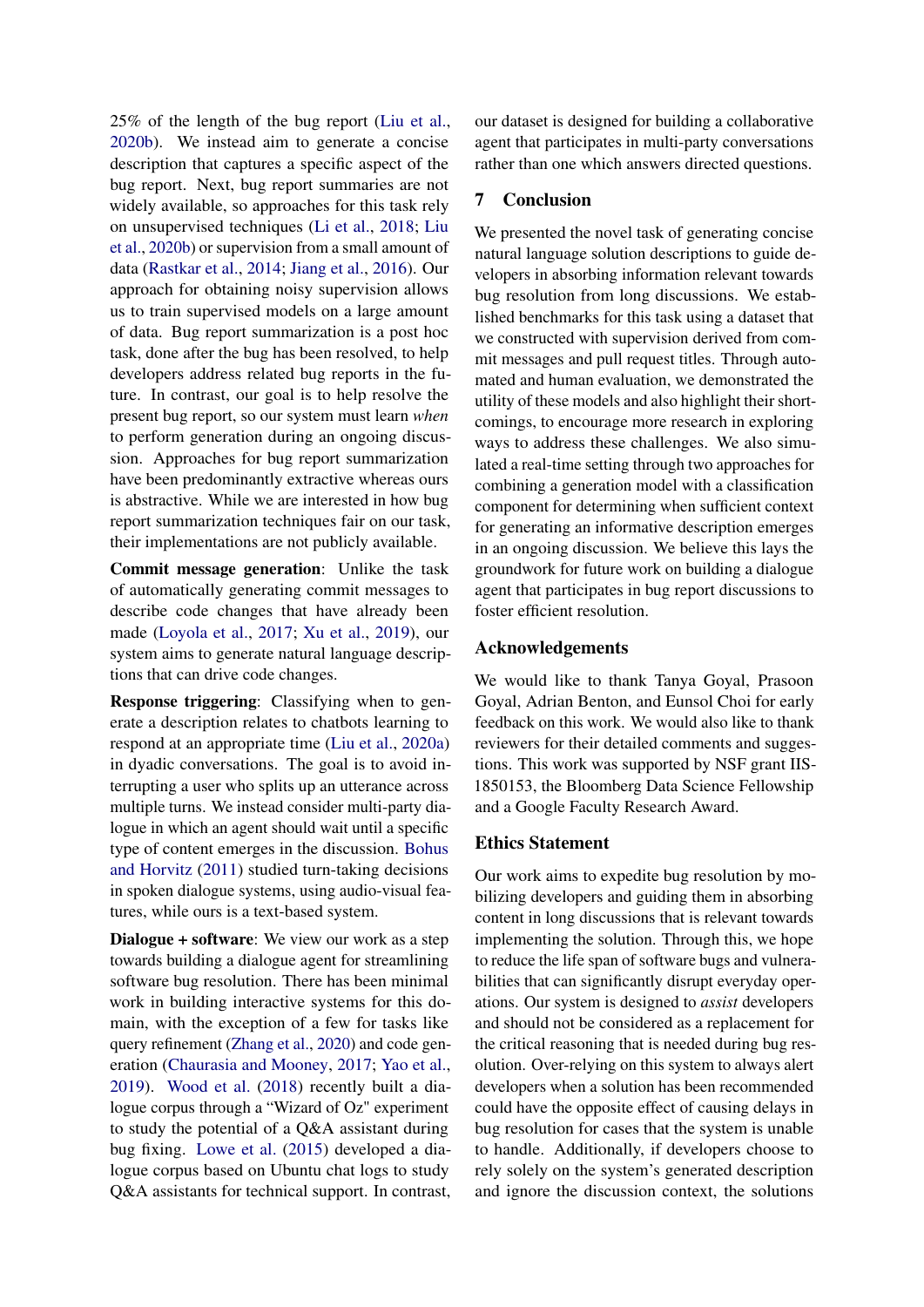25% of the length of the bug report [\(Liu et al.,](#page-10-1) [2020b\)](#page-10-1). We instead aim to generate a concise description that captures a specific aspect of the bug report. Next, bug report summaries are not widely available, so approaches for this task rely on unsupervised techniques [\(Li et al.,](#page-10-4) [2018;](#page-10-4) [Liu](#page-10-1) [et al.,](#page-10-1) [2020b\)](#page-10-1) or supervision from a small amount of data [\(Rastkar et al.,](#page-10-21) [2014;](#page-10-21) [Jiang et al.,](#page-9-15) [2016\)](#page-9-15). Our approach for obtaining noisy supervision allows us to train supervised models on a large amount of data. Bug report summarization is a post hoc task, done after the bug has been resolved, to help developers address related bug reports in the future. In contrast, our goal is to help resolve the present bug report, so our system must learn *when* to perform generation during an ongoing discussion. Approaches for bug report summarization have been predominantly extractive whereas ours is abstractive. While we are interested in how bug report summarization techniques fair on our task, their implementations are not publicly available.

Commit message generation: Unlike the task of automatically generating commit messages to describe code changes that have already been made [\(Loyola et al.,](#page-10-7) [2017;](#page-10-7) [Xu et al.,](#page-11-0) [2019\)](#page-11-0), our system aims to generate natural language descriptions that can drive code changes.

Response triggering: Classifying when to generate a description relates to chatbots learning to respond at an appropriate time [\(Liu et al.,](#page-10-22) [2020a\)](#page-10-22) in dyadic conversations. The goal is to avoid interrupting a user who splits up an utterance across multiple turns. We instead consider multi-party dialogue in which an agent should wait until a specific type of content emerges in the discussion. [Bohus](#page-9-16) [and Horvitz](#page-9-16) [\(2011\)](#page-9-16) studied turn-taking decisions in spoken dialogue systems, using audio-visual features, while ours is a text-based system.

Dialogue + software: We view our work as a step towards building a dialogue agent for streamlining software bug resolution. There has been minimal work in building interactive systems for this domain, with the exception of a few for tasks like query refinement [\(Zhang et al.,](#page-11-5) [2020\)](#page-11-5) and code generation [\(Chaurasia and Mooney,](#page-9-17) [2017;](#page-9-17) [Yao et al.,](#page-11-6) [2019\)](#page-11-6). [Wood et al.](#page-11-7) [\(2018\)](#page-11-7) recently built a dialogue corpus through a "Wizard of Oz" experiment to study the potential of a Q&A assistant during bug fixing. [Lowe et al.](#page-10-23) [\(2015\)](#page-10-23) developed a dialogue corpus based on Ubuntu chat logs to study Q&A assistants for technical support. In contrast, our dataset is designed for building a collaborative agent that participates in multi-party conversations rather than one which answers directed questions.

# 7 Conclusion

We presented the novel task of generating concise natural language solution descriptions to guide developers in absorbing information relevant towards bug resolution from long discussions. We established benchmarks for this task using a dataset that we constructed with supervision derived from commit messages and pull request titles. Through automated and human evaluation, we demonstrated the utility of these models and also highlight their shortcomings, to encourage more research in exploring ways to address these challenges. We also simulated a real-time setting through two approaches for combining a generation model with a classification component for determining when sufficient context for generating an informative description emerges in an ongoing discussion. We believe this lays the groundwork for future work on building a dialogue agent that participates in bug report discussions to foster efficient resolution.

#### Acknowledgements

We would like to thank Tanya Goyal, Prasoon Goyal, Adrian Benton, and Eunsol Choi for early feedback on this work. We would also like to thank reviewers for their detailed comments and suggestions. This work was supported by NSF grant IIS-1850153, the Bloomberg Data Science Fellowship and a Google Faculty Research Award.

## Ethics Statement

Our work aims to expedite bug resolution by mobilizing developers and guiding them in absorbing content in long discussions that is relevant towards implementing the solution. Through this, we hope to reduce the life span of software bugs and vulnerabilities that can significantly disrupt everyday operations. Our system is designed to *assist* developers and should not be considered as a replacement for the critical reasoning that is needed during bug resolution. Over-relying on this system to always alert developers when a solution has been recommended could have the opposite effect of causing delays in bug resolution for cases that the system is unable to handle. Additionally, if developers choose to rely solely on the system's generated description and ignore the discussion context, the solutions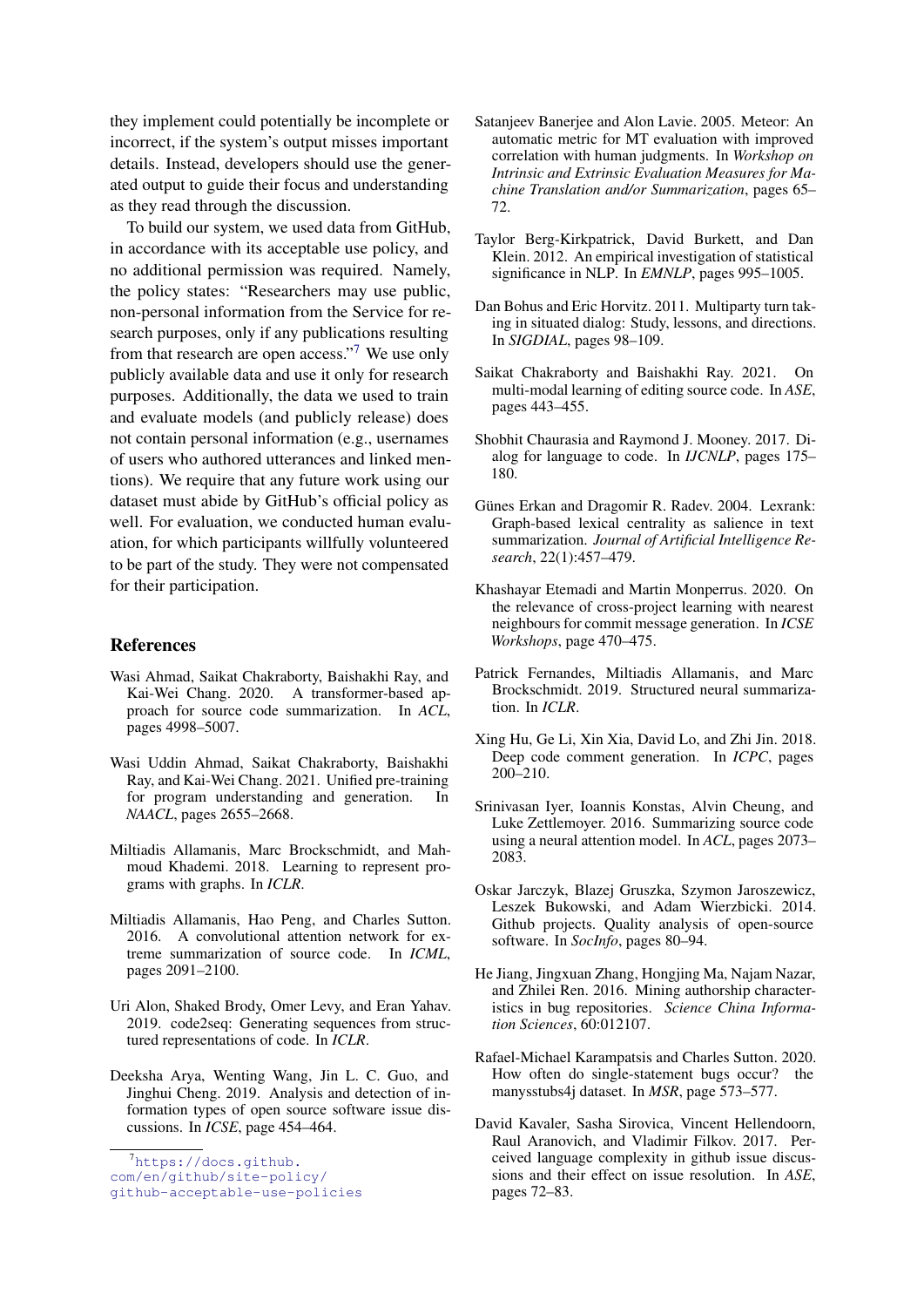they implement could potentially be incomplete or incorrect, if the system's output misses important details. Instead, developers should use the generated output to guide their focus and understanding as they read through the discussion.

To build our system, we used data from GitHub, in accordance with its acceptable use policy, and no additional permission was required. Namely, the policy states: "Researchers may use public, non-personal information from the Service for research purposes, only if any publications resulting from that research are open access."[7](#page-9-18) We use only publicly available data and use it only for research purposes. Additionally, the data we used to train and evaluate models (and publicly release) does not contain personal information (e.g., usernames of users who authored utterances and linked mentions). We require that any future work using our dataset must abide by GitHub's official policy as well. For evaluation, we conducted human evaluation, for which participants willfully volunteered to be part of the study. They were not compensated for their participation.

## References

- <span id="page-9-4"></span>Wasi Ahmad, Saikat Chakraborty, Baishakhi Ray, and Kai-Wei Chang. 2020. A transformer-based approach for source code summarization. In *ACL*, pages 4998–5007.
- <span id="page-9-2"></span>Wasi Uddin Ahmad, Saikat Chakraborty, Baishakhi Ray, and Kai-Wei Chang. 2021. Unified pre-training for program understanding and generation. In *NAACL*, pages 2655–2668.
- <span id="page-9-12"></span>Miltiadis Allamanis, Marc Brockschmidt, and Mahmoud Khademi. 2018. Learning to represent programs with graphs. In *ICLR*.
- <span id="page-9-7"></span>Miltiadis Allamanis, Hao Peng, and Charles Sutton. 2016. A convolutional attention network for extreme summarization of source code. In *ICML*, pages 2091–2100.
- <span id="page-9-11"></span>Uri Alon, Shaked Brody, Omer Levy, and Eran Yahav. 2019. code2seq: Generating sequences from structured representations of code. In *ICLR*.
- <span id="page-9-1"></span>Deeksha Arya, Wenting Wang, Jin L. C. Guo, and Jinghui Cheng. 2019. Analysis and detection of information types of open source software issue discussions. In *ICSE*, page 454–464.

[com/en/github/site-policy/](https://docs.github.com/en/github/site-policy/github-acceptable-use-policies)

- <span id="page-9-13"></span>Satanjeev Banerjee and Alon Lavie. 2005. Meteor: An automatic metric for MT evaluation with improved correlation with human judgments. In *Workshop on Intrinsic and Extrinsic Evaluation Measures for Machine Translation and/or Summarization*, pages 65– 72.
- <span id="page-9-14"></span>Taylor Berg-Kirkpatrick, David Burkett, and Dan Klein. 2012. An empirical investigation of statistical significance in NLP. In *EMNLP*, pages 995–1005.
- <span id="page-9-16"></span>Dan Bohus and Eric Horvitz. 2011. Multiparty turn taking in situated dialog: Study, lessons, and directions. In *SIGDIAL*, pages 98–109.
- <span id="page-9-6"></span>Saikat Chakraborty and Baishakhi Ray. 2021. On multi-modal learning of editing source code. In *ASE*, pages 443–455.
- <span id="page-9-17"></span>Shobhit Chaurasia and Raymond J. Mooney. 2017. Dialog for language to code. In *IJCNLP*, pages 175– 180.
- <span id="page-9-20"></span>Günes Erkan and Dragomir R. Radev. 2004. Lexrank: Graph-based lexical centrality as salience in text summarization. *Journal of Artificial Intelligence Research*, 22(1):457–479.
- <span id="page-9-10"></span>Khashayar Etemadi and Martin Monperrus. 2020. On the relevance of cross-project learning with nearest neighbours for commit message generation. In *ICSE Workshops*, page 470–475.
- <span id="page-9-9"></span>Patrick Fernandes, Miltiadis Allamanis, and Marc Brockschmidt. 2019. Structured neural summarization. In *ICLR*.
- <span id="page-9-8"></span>Xing Hu, Ge Li, Xin Xia, David Lo, and Zhi Jin. 2018. Deep code comment generation. In *ICPC*, pages 200–210.
- <span id="page-9-3"></span>Srinivasan Iyer, Ioannis Konstas, Alvin Cheung, and Luke Zettlemoyer. 2016. Summarizing source code using a neural attention model. In *ACL*, pages 2073– 2083.
- <span id="page-9-19"></span>Oskar Jarczyk, Blazej Gruszka, Szymon Jaroszewicz, Leszek Bukowski, and Adam Wierzbicki. 2014. Github projects. Quality analysis of open-source software. In *SocInfo*, pages 80–94.
- <span id="page-9-15"></span>He Jiang, Jingxuan Zhang, Hongjing Ma, Najam Nazar, and Zhilei Ren. 2016. Mining authorship characteristics in bug repositories. *Science China Information Sciences*, 60:012107.
- <span id="page-9-5"></span>Rafael-Michael Karampatsis and Charles Sutton. 2020. How often do single-statement bugs occur? the manysstubs4j dataset. In *MSR*, page 573–577.
- <span id="page-9-0"></span>David Kavaler, Sasha Sirovica, Vincent Hellendoorn, Raul Aranovich, and Vladimir Filkov. 2017. Perceived language complexity in github issue discussions and their effect on issue resolution. In *ASE*, pages 72–83.

<span id="page-9-18"></span> $7$ [https://docs.github.](https://docs.github.com/en/github/site-policy/github-acceptable-use-policies)

[github-acceptable-use-policies](https://docs.github.com/en/github/site-policy/github-acceptable-use-policies)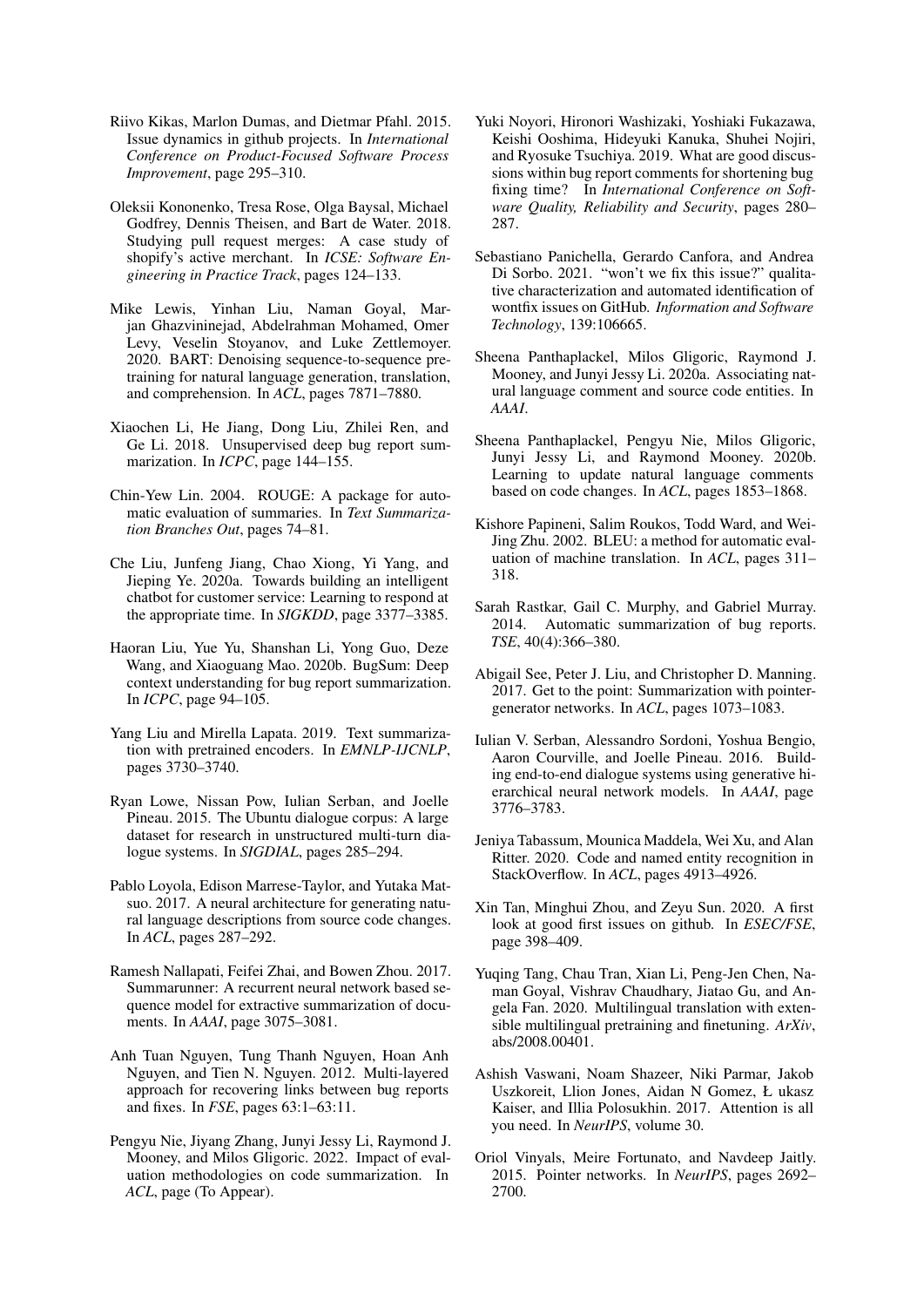- <span id="page-10-2"></span>Riivo Kikas, Marlon Dumas, and Dietmar Pfahl. 2015. Issue dynamics in github projects. In *International Conference on Product-Focused Software Process Improvement*, page 295–310.
- <span id="page-10-10"></span>Oleksii Kononenko, Tresa Rose, Olga Baysal, Michael Godfrey, Dennis Theisen, and Bart de Water. 2018. Studying pull request merges: A case study of shopify's active merchant. In *ICSE: Software Engineering in Practice Track*, pages 124–133.
- <span id="page-10-18"></span>Mike Lewis, Yinhan Liu, Naman Goyal, Marjan Ghazvininejad, Abdelrahman Mohamed, Omer Levy, Veselin Stoyanov, and Luke Zettlemoyer. 2020. BART: Denoising sequence-to-sequence pretraining for natural language generation, translation, and comprehension. In *ACL*, pages 7871–7880.
- <span id="page-10-4"></span>Xiaochen Li, He Jiang, Dong Liu, Zhilei Ren, and Ge Li. 2018. Unsupervised deep bug report summarization. In *ICPC*, page 144–155.
- <span id="page-10-20"></span>Chin-Yew Lin. 2004. ROUGE: A package for automatic evaluation of summaries. In *Text Summarization Branches Out*, pages 74–81.
- <span id="page-10-22"></span>Che Liu, Junfeng Jiang, Chao Xiong, Yi Yang, and Jieping Ye. 2020a. Towards building an intelligent chatbot for customer service: Learning to respond at the appropriate time. In *SIGKDD*, page 3377–3385.
- <span id="page-10-1"></span>Haoran Liu, Yue Yu, Shanshan Li, Yong Guo, Deze Wang, and Xiaoguang Mao. 2020b. BugSum: Deep context understanding for bug report summarization. In *ICPC*, page 94–105.
- <span id="page-10-24"></span>Yang Liu and Mirella Lapata. 2019. Text summarization with pretrained encoders. In *EMNLP-IJCNLP*, pages 3730–3740.
- <span id="page-10-23"></span>Ryan Lowe, Nissan Pow, Iulian Serban, and Joelle Pineau. 2015. The Ubuntu dialogue corpus: A large dataset for research in unstructured multi-turn dialogue systems. In *SIGDIAL*, pages 285–294.
- <span id="page-10-7"></span>Pablo Loyola, Edison Marrese-Taylor, and Yutaka Matsuo. 2017. A neural architecture for generating natural language descriptions from source code changes. In *ACL*, pages 287–292.
- <span id="page-10-12"></span>Ramesh Nallapati, Feifei Zhai, and Bowen Zhou. 2017. Summarunner: A recurrent neural network based sequence model for extractive summarization of documents. In *AAAI*, page 3075–3081.
- <span id="page-10-9"></span>Anh Tuan Nguyen, Tung Thanh Nguyen, Hoan Anh Nguyen, and Tien N. Nguyen. 2012. Multi-layered approach for recovering links between bug reports and fixes. In *FSE*, pages 63:1–63:11.
- <span id="page-10-14"></span>Pengyu Nie, Jiyang Zhang, Junyi Jessy Li, Raymond J. Mooney, and Milos Gligoric. 2022. Impact of evaluation methodologies on code summarization. In *ACL*, page (To Appear).
- <span id="page-10-0"></span>Yuki Noyori, Hironori Washizaki, Yoshiaki Fukazawa, Keishi Ooshima, Hideyuki Kanuka, Shuhei Nojiri, and Ryosuke Tsuchiya. 2019. What are good discussions within bug report comments for shortening bug fixing time? In *International Conference on Software Quality, Reliability and Security*, pages 280– 287.
- <span id="page-10-8"></span>Sebastiano Panichella, Gerardo Canfora, and Andrea Di Sorbo. 2021. "won't we fix this issue?" qualitative characterization and automated identification of wontfix issues on GitHub. *Information and Software Technology*, 139:106665.
- <span id="page-10-11"></span>Sheena Panthaplackel, Milos Gligoric, Raymond J. Mooney, and Junyi Jessy Li. 2020a. Associating natural language comment and source code entities. In *AAAI*.
- <span id="page-10-6"></span>Sheena Panthaplackel, Pengyu Nie, Milos Gligoric, Junyi Jessy Li, and Raymond Mooney. 2020b. Learning to update natural language comments based on code changes. In *ACL*, pages 1853–1868.
- <span id="page-10-19"></span>Kishore Papineni, Salim Roukos, Todd Ward, and Wei-Jing Zhu. 2002. BLEU: a method for automatic evaluation of machine translation. In *ACL*, pages 311– 318.
- <span id="page-10-21"></span>Sarah Rastkar, Gail C. Murphy, and Gabriel Murray. 2014. Automatic summarization of bug reports. *TSE*, 40(4):366–380.
- <span id="page-10-15"></span>Abigail See, Peter J. Liu, and Christopher D. Manning. 2017. Get to the point: Summarization with pointergenerator networks. In *ACL*, pages 1073–1083.
- <span id="page-10-17"></span>Iulian V. Serban, Alessandro Sordoni, Yoshua Bengio, Aaron Courville, and Joelle Pineau. 2016. Building end-to-end dialogue systems using generative hierarchical neural network models. In *AAAI*, page 3776–3783.
- <span id="page-10-13"></span>Jeniya Tabassum, Mounica Maddela, Wei Xu, and Alan Ritter. 2020. Code and named entity recognition in StackOverflow. In *ACL*, pages 4913–4926.
- <span id="page-10-3"></span>Xin Tan, Minghui Zhou, and Zeyu Sun. 2020. A first look at good first issues on github. In *ESEC/FSE*, page 398–409.
- <span id="page-10-25"></span>Yuqing Tang, Chau Tran, Xian Li, Peng-Jen Chen, Naman Goyal, Vishrav Chaudhary, Jiatao Gu, and Angela Fan. 2020. Multilingual translation with extensible multilingual pretraining and finetuning. *ArXiv*, abs/2008.00401.
- <span id="page-10-5"></span>Ashish Vaswani, Noam Shazeer, Niki Parmar, Jakob Uszkoreit, Llion Jones, Aidan N Gomez, Ł ukasz Kaiser, and Illia Polosukhin. 2017. Attention is all you need. In *NeurIPS*, volume 30.
- <span id="page-10-16"></span>Oriol Vinyals, Meire Fortunato, and Navdeep Jaitly. 2015. Pointer networks. In *NeurIPS*, pages 2692– 2700.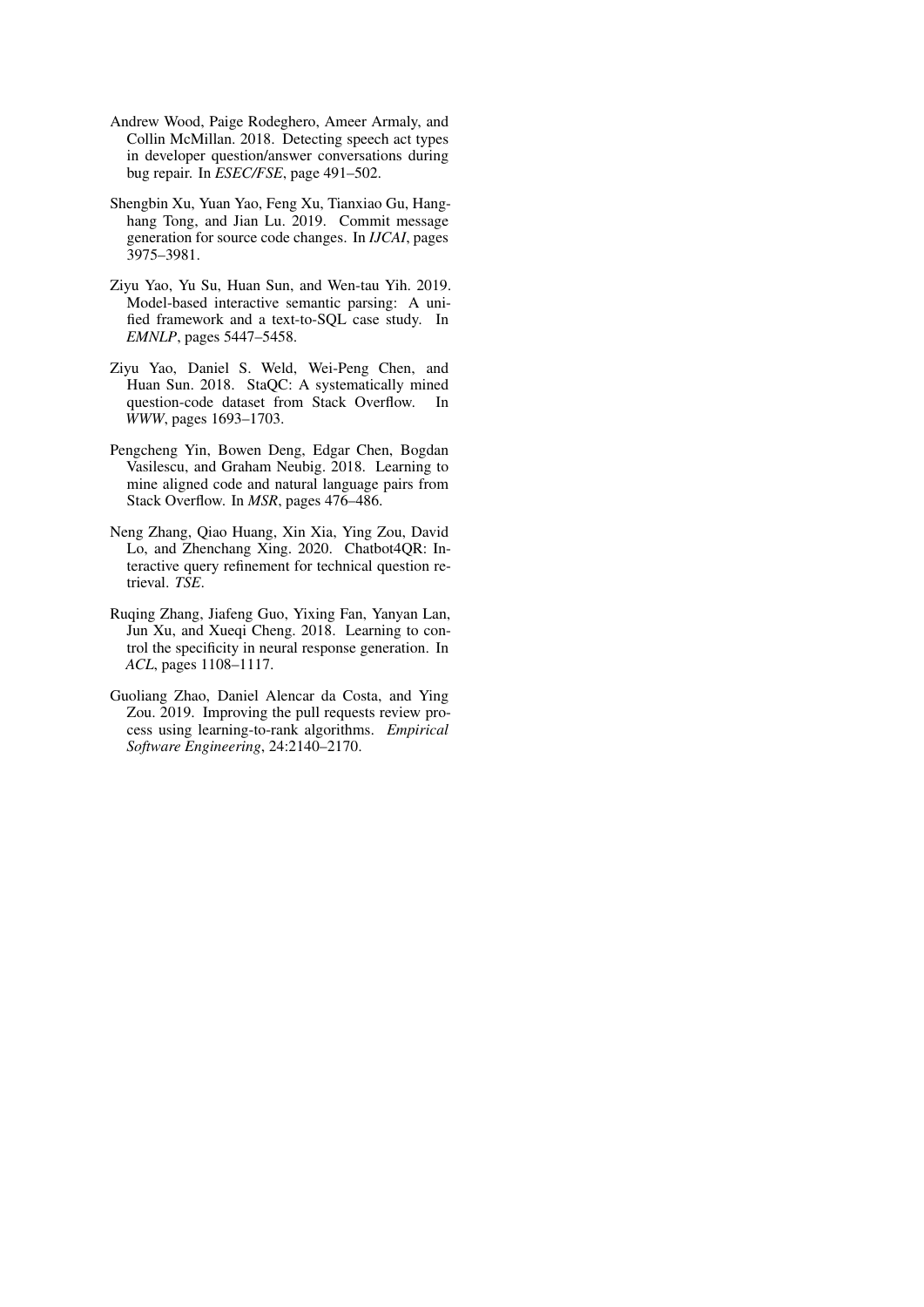- <span id="page-11-7"></span>Andrew Wood, Paige Rodeghero, Ameer Armaly, and Collin McMillan. 2018. Detecting speech act types in developer question/answer conversations during bug repair. In *ESEC/FSE*, page 491–502.
- <span id="page-11-0"></span>Shengbin Xu, Yuan Yao, Feng Xu, Tianxiao Gu, Hanghang Tong, and Jian Lu. 2019. Commit message generation for source code changes. In *IJCAI*, pages 3975–3981.
- <span id="page-11-6"></span>Ziyu Yao, Yu Su, Huan Sun, and Wen-tau Yih. 2019. Model-based interactive semantic parsing: A unified framework and a text-to-SQL case study. In *EMNLP*, pages 5447–5458.
- <span id="page-11-2"></span>Ziyu Yao, Daniel S. Weld, Wei-Peng Chen, and Huan Sun. 2018. StaQC: A systematically mined question-code dataset from Stack Overflow. In *WWW*, pages 1693–1703.
- <span id="page-11-3"></span>Pengcheng Yin, Bowen Deng, Edgar Chen, Bogdan Vasilescu, and Graham Neubig. 2018. Learning to mine aligned code and natural language pairs from Stack Overflow. In *MSR*, pages 476–486.
- <span id="page-11-5"></span>Neng Zhang, Qiao Huang, Xin Xia, Ying Zou, David Lo, and Zhenchang Xing. 2020. Chatbot4QR: Interactive query refinement for technical question retrieval. *TSE*.
- <span id="page-11-4"></span>Ruqing Zhang, Jiafeng Guo, Yixing Fan, Yanyan Lan, Jun Xu, and Xueqi Cheng. 2018. Learning to control the specificity in neural response generation. In *ACL*, pages 1108–1117.
- <span id="page-11-1"></span>Guoliang Zhao, Daniel Alencar da Costa, and Ying Zou. 2019. Improving the pull requests review process using learning-to-rank algorithms. *Empirical Software Engineering*, 24:2140–2170.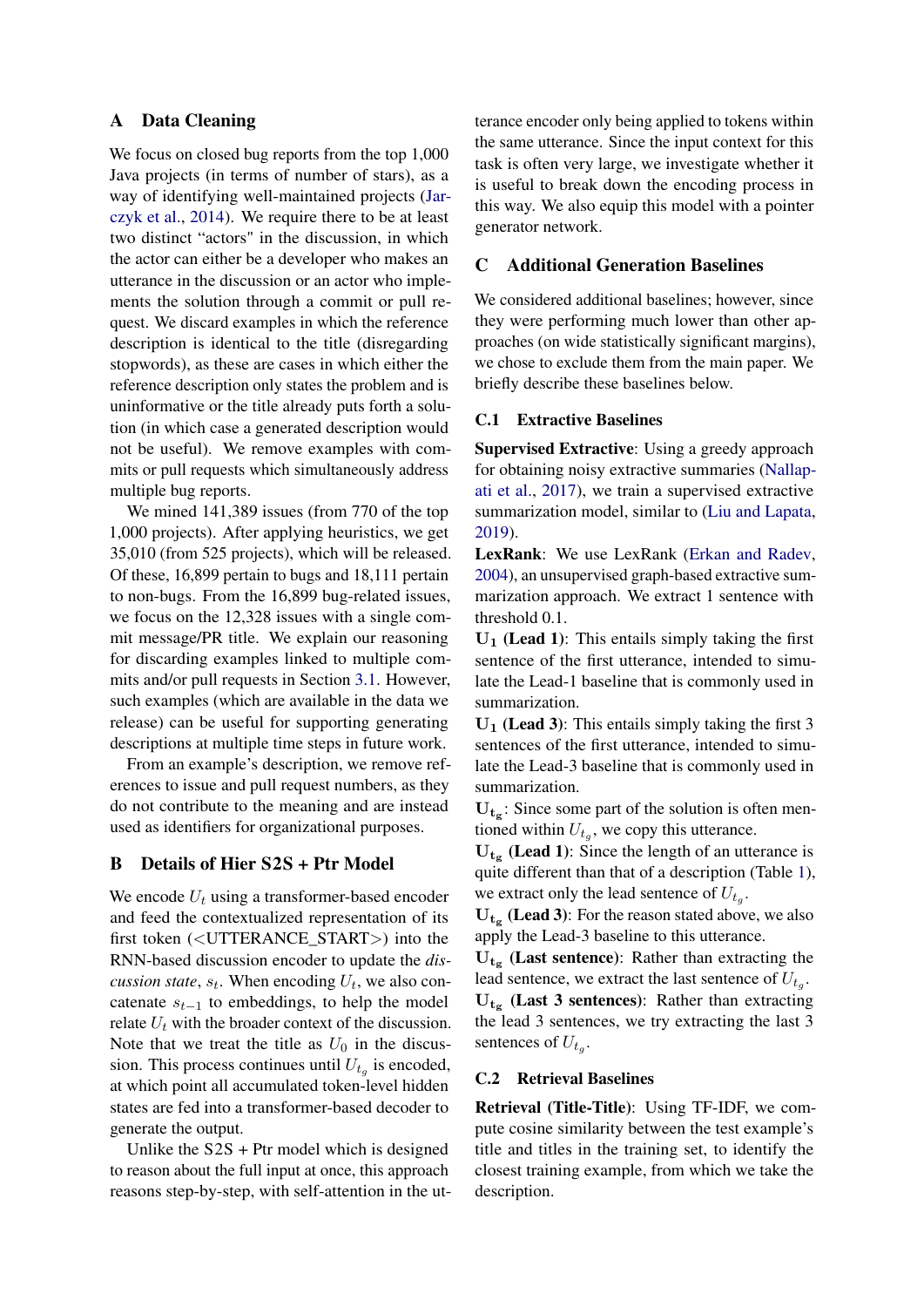# <span id="page-12-0"></span>A Data Cleaning

We focus on closed bug reports from the top 1,000 Java projects (in terms of number of stars), as a way of identifying well-maintained projects [\(Jar](#page-9-19)[czyk et al.,](#page-9-19) [2014\)](#page-9-19). We require there to be at least two distinct "actors" in the discussion, in which the actor can either be a developer who makes an utterance in the discussion or an actor who implements the solution through a commit or pull request. We discard examples in which the reference description is identical to the title (disregarding stopwords), as these are cases in which either the reference description only states the problem and is uninformative or the title already puts forth a solution (in which case a generated description would not be useful). We remove examples with commits or pull requests which simultaneously address multiple bug reports.

We mined 141,389 issues (from 770 of the top 1,000 projects). After applying heuristics, we get 35,010 (from 525 projects), which will be released. Of these, 16,899 pertain to bugs and 18,111 pertain to non-bugs. From the 16,899 bug-related issues, we focus on the 12,328 issues with a single commit message/PR title. We explain our reasoning for discarding examples linked to multiple commits and/or pull requests in Section [3.1.](#page-1-1) However, such examples (which are available in the data we release) can be useful for supporting generating descriptions at multiple time steps in future work.

From an example's description, we remove references to issue and pull request numbers, as they do not contribute to the meaning and are instead used as identifiers for organizational purposes.

# <span id="page-12-1"></span>B Details of Hier S2S + Ptr Model

We encode  $U_t$  using a transformer-based encoder and feed the contextualized representation of its first token (<UTTERANCE\_START>) into the RNN-based discussion encoder to update the *discussion state*,  $s_t$ . When encoding  $U_t$ , we also concatenate  $s_{t-1}$  to embeddings, to help the model relate  $U_t$  with the broader context of the discussion. Note that we treat the title as  $U_0$  in the discussion. This process continues until  $U_{t_g}$  is encoded, at which point all accumulated token-level hidden states are fed into a transformer-based decoder to generate the output.

Unlike the  $S2S + P$ tr model which is designed to reason about the full input at once, this approach reasons step-by-step, with self-attention in the utterance encoder only being applied to tokens within the same utterance. Since the input context for this task is often very large, we investigate whether it is useful to break down the encoding process in this way. We also equip this model with a pointer generator network.

# <span id="page-12-2"></span>C Additional Generation Baselines

We considered additional baselines; however, since they were performing much lower than other approaches (on wide statistically significant margins), we chose to exclude them from the main paper. We briefly describe these baselines below.

#### C.1 Extractive Baselines

Supervised Extractive: Using a greedy approach for obtaining noisy extractive summaries [\(Nallap](#page-10-12)[ati et al.,](#page-10-12) [2017\)](#page-10-12), we train a supervised extractive summarization model, similar to [\(Liu and Lapata,](#page-10-24) [2019\)](#page-10-24).

LexRank: We use LexRank [\(Erkan and Radev,](#page-9-20) [2004\)](#page-9-20), an unsupervised graph-based extractive summarization approach. We extract 1 sentence with threshold 0.1.

 $U_1$  (Lead 1): This entails simply taking the first sentence of the first utterance, intended to simulate the Lead-1 baseline that is commonly used in summarization.

 $U_1$  (Lead 3): This entails simply taking the first 3 sentences of the first utterance, intended to simulate the Lead-3 baseline that is commonly used in summarization.

 $U_{t<sub>g</sub>$ : Since some part of the solution is often mentioned within  $U_{t_g}$ , we copy this utterance.

 $U_{t<sub>g</sub>}$  (Lead 1): Since the length of an utterance is quite different than that of a description (Table [1\)](#page-2-2), we extract only the lead sentence of  $U_{t_g}$ .

 $U_{t<sub>g</sub>}$  (Lead 3): For the reason stated above, we also apply the Lead-3 baseline to this utterance.

 $U_{t<sub>g</sub>}$  (Last sentence): Rather than extracting the lead sentence, we extract the last sentence of  $U_{t_g}$ .  $U_{tg}$  (Last 3 sentences): Rather than extracting

the lead 3 sentences, we try extracting the last 3 sentences of  $U_{t_g}$ .

# C.2 Retrieval Baselines

Retrieval (Title-Title): Using TF-IDF, we compute cosine similarity between the test example's title and titles in the training set, to identify the closest training example, from which we take the description.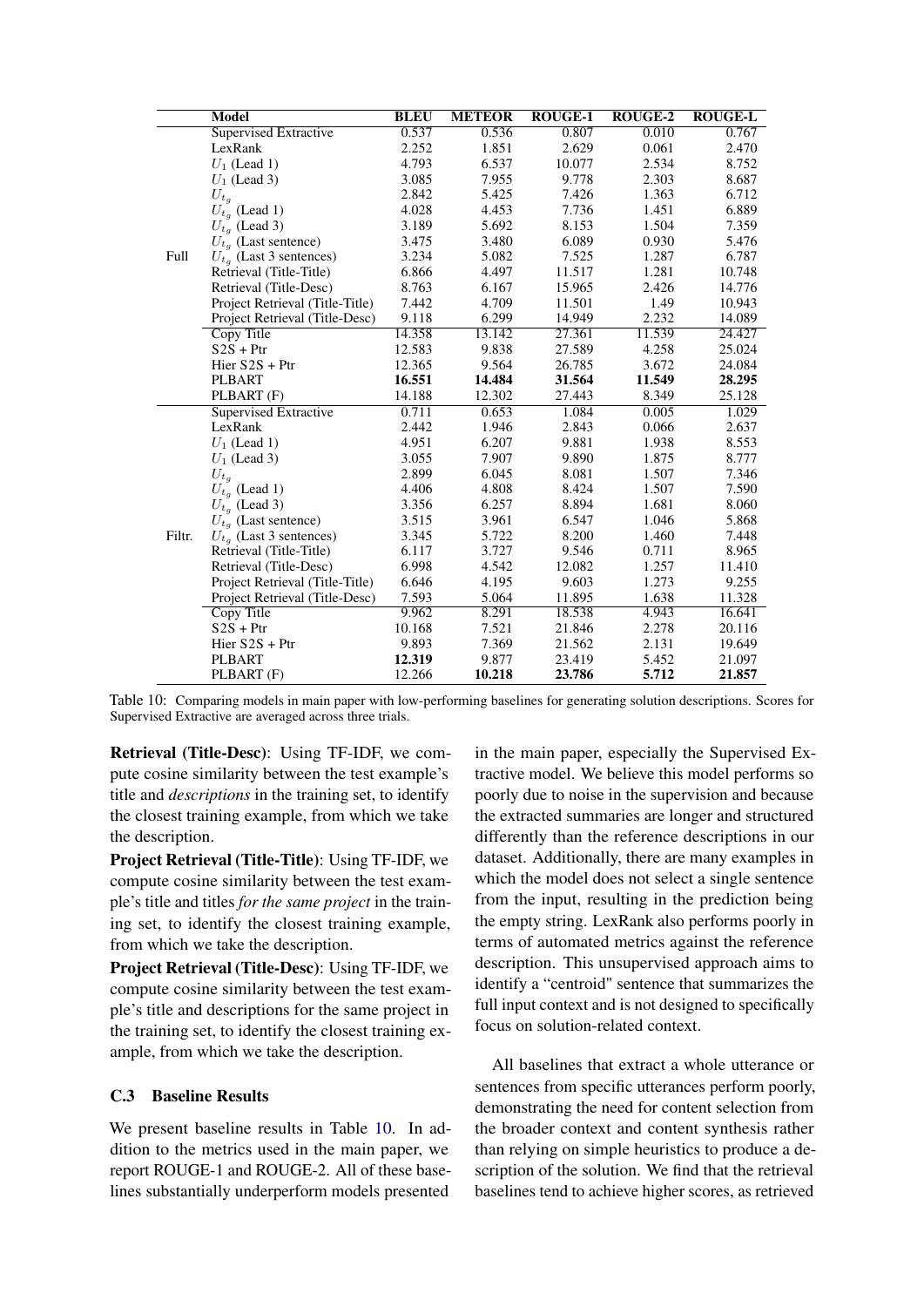<span id="page-13-0"></span>

|        | Model                           | <b>BLEU</b> | <b>METEOR</b> | <b>ROUGE-1</b> | <b>ROUGE-2</b> | <b>ROUGE-L</b> |
|--------|---------------------------------|-------------|---------------|----------------|----------------|----------------|
|        | Supervised Extractive           | 0.537       | 0.536         | 0.807          | 0.010          | 0.767          |
|        | LexRank                         | 2.252       | 1.851         | 2.629          | 0.061          | 2.470          |
|        | $U_1$ (Lead 1)                  | 4.793       | 6.537         | 10.077         | 2.534          | 8.752          |
|        | $U_1$ (Lead 3)                  | 3.085       | 7.955         | 9.778          | 2.303          | 8.687          |
|        | $U_{t_g}$                       | 2.842       | 5.425         | 7.426          | 1.363          | 6.712          |
|        | $U_{t_q}$ (Lead 1)              | 4.028       | 4.453         | 7.736          | 1.451          | 6.889          |
|        | $U_{t_q}$ (Lead 3)              | 3.189       | 5.692         | 8.153          | 1.504          | 7.359          |
|        | $U_{t_q}$ (Last sentence)       | 3.475       | 3.480         | 6.089          | 0.930          | 5.476          |
| Full   | $U_{t_q}$ (Last 3 sentences)    | 3.234       | 5.082         | 7.525          | 1.287          | 6.787          |
|        | Retrieval (Title-Title)         | 6.866       | 4.497         | 11.517         | 1.281          | 10.748         |
|        | Retrieval (Title-Desc)          | 8.763       | 6.167         | 15.965         | 2.426          | 14.776         |
|        | Project Retrieval (Title-Title) | 7.442       | 4.709         | 11.501         | 1.49           | 10.943         |
|        | Project Retrieval (Title-Desc)  | 9.118       | 6.299         | 14.949         | 2.232          | 14.089         |
|        | Copy Title                      | 14.358      | 13.142        | 27.361         | 11.539         | 24.427         |
|        | $S2S + Ptr$                     | 12.583      | 9.838         | 27.589         | 4.258          | 25.024         |
|        | Hier $S2S + Ptr$                | 12.365      | 9.564         | 26.785         | 3.672          | 24.084         |
|        | PLBART                          | 16.551      | 14.484        | 31.564         | 11.549         | 28.295         |
|        | PLBART (F)                      | 14.188      | 12.302        | 27.443         | 8.349          | 25.128         |
|        | Supervised Extractive           | 0.711       | 0.653         | 1.084          | 0.005          | 1.029          |
|        | LexRank                         | 2.442       | 1.946         | 2.843          | 0.066          | 2.637          |
|        | $U_1$ (Lead 1)                  | 4.951       | 6.207         | 9.881          | 1.938          | 8.553          |
|        | $U_1$ (Lead 3)                  | 3.055       | 7.907         | 9.890          | 1.875          | 8.777          |
|        | $U_{t_q}$                       | 2.899       | 6.045         | 8.081          | 1.507          | 7.346          |
|        | $U_{t_q}$ (Lead 1)              | 4.406       | 4.808         | 8.424          | 1.507          | 7.590          |
|        | $U_{t_a}$ (Lead 3)              | 3.356       | 6.257         | 8.894          | 1.681          | 8.060          |
|        | $U_{t_q}$ (Last sentence)       | 3.515       | 3.961         | 6.547          | 1.046          | 5.868          |
| Filtr. | $U_{t_q}$ (Last 3 sentences)    | 3.345       | 5.722         | 8.200          | 1.460          | 7.448          |
|        | Retrieval (Title-Title)         | 6.117       | 3.727         | 9.546          | 0.711          | 8.965          |
|        | Retrieval (Title-Desc)          | 6.998       | 4.542         | 12.082         | 1.257          | 11.410         |
|        | Project Retrieval (Title-Title) | 6.646       | 4.195         | 9.603          | 1.273          | 9.255          |
|        | Project Retrieval (Title-Desc)  | 7.593       | 5.064         | 11.895         | 1.638          | 11.328         |
|        | Copy Title                      | 9.962       | 8.291         | 18.538         | 4.943          | 16.641         |
|        | $S2S + Ptr$                     | 10.168      | 7.521         | 21.846         | 2.278          | 20.116         |
|        | Hier $S2S + Ptr$                | 9.893       | 7.369         | 21.562         | 2.131          | 19.649         |
|        | PLBART                          | 12.319      | 9.877         | 23.419         | 5.452          | 21.097         |
|        | PLBART (F)                      | 12.266      | 10.218        | 23.786         | 5.712          | 21.857         |

Table 10: Comparing models in main paper with low-performing baselines for generating solution descriptions. Scores for Supervised Extractive are averaged across three trials.

Retrieval (Title-Desc): Using TF-IDF, we compute cosine similarity between the test example's title and *descriptions* in the training set, to identify the closest training example, from which we take the description.

Project Retrieval (Title-Title): Using TF-IDF, we compute cosine similarity between the test example's title and titles *for the same project* in the training set, to identify the closest training example, from which we take the description.

Project Retrieval (Title-Desc): Using TF-IDF, we compute cosine similarity between the test example's title and descriptions for the same project in the training set, to identify the closest training example, from which we take the description.

# C.3 Baseline Results

We present baseline results in Table [10.](#page-13-0) In addition to the metrics used in the main paper, we report ROUGE-1 and ROUGE-2. All of these baselines substantially underperform models presented in the main paper, especially the Supervised Extractive model. We believe this model performs so poorly due to noise in the supervision and because the extracted summaries are longer and structured differently than the reference descriptions in our dataset. Additionally, there are many examples in which the model does not select a single sentence from the input, resulting in the prediction being the empty string. LexRank also performs poorly in terms of automated metrics against the reference description. This unsupervised approach aims to identify a "centroid" sentence that summarizes the full input context and is not designed to specifically focus on solution-related context.

All baselines that extract a whole utterance or sentences from specific utterances perform poorly, demonstrating the need for content selection from the broader context and content synthesis rather than relying on simple heuristics to produce a description of the solution. We find that the retrieval baselines tend to achieve higher scores, as retrieved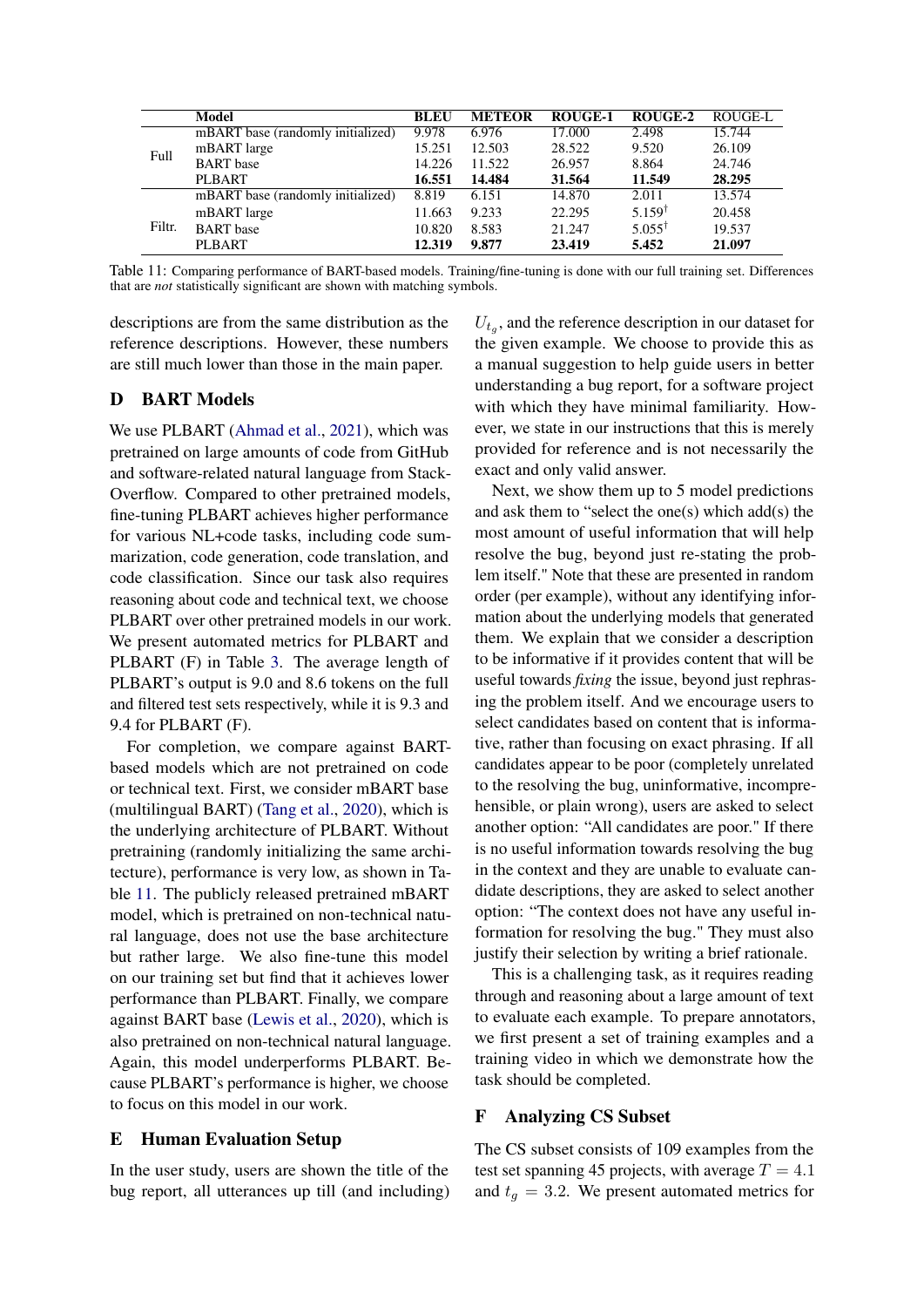<span id="page-14-1"></span>

|        | Model                             | <b>BLEU</b> | <b>METEOR</b> | <b>ROUGE-1</b> | ROUGE-2           | ROUGE-L |
|--------|-----------------------------------|-------------|---------------|----------------|-------------------|---------|
|        | mBART base (randomly initialized) | 9.978       | 6.976         | 17.000         | 2.498             | 15.744  |
| Full   | mBART large                       | 15.251      | 12.503        | 28.522         | 9.520             | 26.109  |
|        | <b>BART</b> base                  | 14.226      | 11.522        | 26.957         | 8.864             | 24.746  |
|        | <b>PLBART</b>                     | 16.551      | 14.484        | 31.564         | 11.549            | 28.295  |
|        | mBART base (randomly initialized) | 8.819       | 6.151         | 14.870         | 2.011             | 13.574  |
|        | mBART large                       | 11.663      | 9.233         | 22.295         | $5.159^{\dagger}$ | 20.458  |
| Filtr. | <b>BART</b> base                  | 10.820      | 8.583         | 21.247         | $5.055^{\dagger}$ | 19.537  |
|        | <b>PLBART</b>                     | 12.319      | 9.877         | 23.419         | 5.452             | 21.097  |

Table 11: Comparing performance of BART-based models. Training/fine-tuning is done with our full training set. Differences that are *not* statistically significant are shown with matching symbols.

descriptions are from the same distribution as the reference descriptions. However, these numbers are still much lower than those in the main paper.

# <span id="page-14-0"></span>D BART Models

We use PLBART [\(Ahmad et al.,](#page-9-2) [2021\)](#page-9-2), which was pretrained on large amounts of code from GitHub and software-related natural language from Stack-Overflow. Compared to other pretrained models, fine-tuning PLBART achieves higher performance for various NL+code tasks, including code summarization, code generation, code translation, and code classification. Since our task also requires reasoning about code and technical text, we choose PLBART over other pretrained models in our work. We present automated metrics for PLBART and PLBART (F) in Table [3.](#page-4-2) The average length of PLBART's output is 9.0 and 8.6 tokens on the full and filtered test sets respectively, while it is 9.3 and 9.4 for PLBART (F).

For completion, we compare against BARTbased models which are not pretrained on code or technical text. First, we consider mBART base (multilingual BART) [\(Tang et al.,](#page-10-25) [2020\)](#page-10-25), which is the underlying architecture of PLBART. Without pretraining (randomly initializing the same architecture), performance is very low, as shown in Table [11.](#page-14-1) The publicly released pretrained mBART model, which is pretrained on non-technical natural language, does not use the base architecture but rather large. We also fine-tune this model on our training set but find that it achieves lower performance than PLBART. Finally, we compare against BART base [\(Lewis et al.,](#page-10-18) [2020\)](#page-10-18), which is also pretrained on non-technical natural language. Again, this model underperforms PLBART. Because PLBART's performance is higher, we choose to focus on this model in our work.

#### E Human Evaluation Setup

In the user study, users are shown the title of the bug report, all utterances up till (and including)

 $U_{t_g}$ , and the reference description in our dataset for the given example. We choose to provide this as a manual suggestion to help guide users in better understanding a bug report, for a software project with which they have minimal familiarity. However, we state in our instructions that this is merely provided for reference and is not necessarily the exact and only valid answer.

Next, we show them up to 5 model predictions and ask them to "select the one(s) which add(s) the most amount of useful information that will help resolve the bug, beyond just re-stating the problem itself." Note that these are presented in random order (per example), without any identifying information about the underlying models that generated them. We explain that we consider a description to be informative if it provides content that will be useful towards *fixing* the issue, beyond just rephrasing the problem itself. And we encourage users to select candidates based on content that is informative, rather than focusing on exact phrasing. If all candidates appear to be poor (completely unrelated to the resolving the bug, uninformative, incomprehensible, or plain wrong), users are asked to select another option: "All candidates are poor." If there is no useful information towards resolving the bug in the context and they are unable to evaluate candidate descriptions, they are asked to select another option: "The context does not have any useful information for resolving the bug." They must also justify their selection by writing a brief rationale.

This is a challenging task, as it requires reading through and reasoning about a large amount of text to evaluate each example. To prepare annotators, we first present a set of training examples and a training video in which we demonstrate how the task should be completed.

#### F Analyzing CS Subset

The CS subset consists of 109 examples from the test set spanning 45 projects, with average  $T = 4.1$ and  $t_q = 3.2$ . We present automated metrics for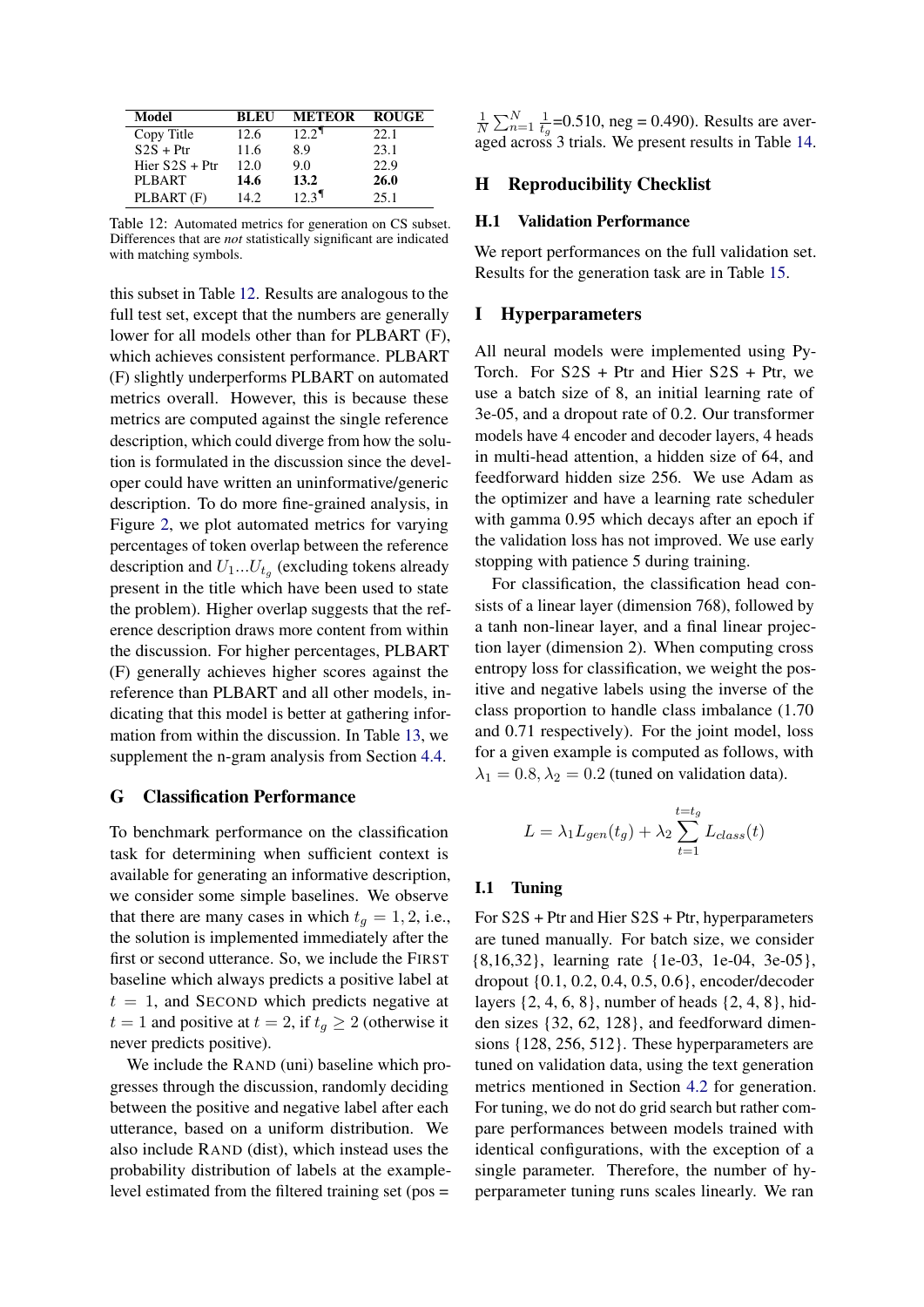<span id="page-15-0"></span>

| Model            | <b>BLEU</b> | <b>METEOR</b>       | <b>ROUGE</b> |
|------------------|-------------|---------------------|--------------|
| Copy Title       | 12.6        | 12.2 <sup>1</sup>   | 22.1         |
| $S2S + Ptr$      | 11.6        | 8.9                 | 23.1         |
| Hier $S2S + Ptr$ | 12.0        | 9.0                 | 22.9         |
| <b>PLBART</b>    | 14.6        | 13.2                | 26.0         |
| PLBART (F)       | 14.2.       | $12.3$ <sup>T</sup> | 25.1         |

Table 12: Automated metrics for generation on CS subset. Differences that are *not* statistically significant are indicated with matching symbols.

this subset in Table [12.](#page-15-0) Results are analogous to the full test set, except that the numbers are generally lower for all models other than for PLBART (F), which achieves consistent performance. PLBART (F) slightly underperforms PLBART on automated metrics overall. However, this is because these metrics are computed against the single reference description, which could diverge from how the solution is formulated in the discussion since the developer could have written an uninformative/generic description. To do more fine-grained analysis, in Figure [2,](#page-16-0) we plot automated metrics for varying percentages of token overlap between the reference description and  $U_1...U_{t_g}$  (excluding tokens already present in the title which have been used to state the problem). Higher overlap suggests that the reference description draws more content from within the discussion. For higher percentages, PLBART (F) generally achieves higher scores against the reference than PLBART and all other models, indicating that this model is better at gathering information from within the discussion. In Table [13,](#page-17-0) we supplement the n-gram analysis from Section [4.4.](#page-5-3)

## G Classification Performance

To benchmark performance on the classification task for determining when sufficient context is available for generating an informative description, we consider some simple baselines. We observe that there are many cases in which  $t<sub>q</sub> = 1, 2$ , i.e., the solution is implemented immediately after the first or second utterance. So, we include the FIRST baseline which always predicts a positive label at  $t = 1$ , and SECOND which predicts negative at  $t = 1$  and positive at  $t = 2$ , if  $t_g \geq 2$  (otherwise it never predicts positive).

We include the RAND (uni) baseline which progresses through the discussion, randomly deciding between the positive and negative label after each utterance, based on a uniform distribution. We also include RAND (dist), which instead uses the probability distribution of labels at the examplelevel estimated from the filtered training set (pos =

1  $\frac{1}{N} \sum_{n=1}^{N} \frac{1}{t_c}$  $\frac{1}{t_g}$ =0.510, neg = 0.490). Results are averaged across 3 trials. We present results in Table [14.](#page-17-1)

# H Reproducibility Checklist

#### H.1 Validation Performance

We report performances on the full validation set. Results for the generation task are in Table [15.](#page-17-2)

# I Hyperparameters

All neural models were implemented using Py-Torch. For  $S2S$  + Ptr and Hier  $S2S$  + Ptr, we use a batch size of 8, an initial learning rate of 3e-05, and a dropout rate of 0.2. Our transformer models have 4 encoder and decoder layers, 4 heads in multi-head attention, a hidden size of 64, and feedforward hidden size 256. We use Adam as the optimizer and have a learning rate scheduler with gamma 0.95 which decays after an epoch if the validation loss has not improved. We use early stopping with patience 5 during training.

For classification, the classification head consists of a linear layer (dimension 768), followed by a tanh non-linear layer, and a final linear projection layer (dimension 2). When computing cross entropy loss for classification, we weight the positive and negative labels using the inverse of the class proportion to handle class imbalance (1.70 and 0.71 respectively). For the joint model, loss for a given example is computed as follows, with  $\lambda_1 = 0.8, \lambda_2 = 0.2$  (tuned on validation data).

$$
L = \lambda_1 L_{gen}(t_g) + \lambda_2 \sum_{t=1}^{t=t_g} L_{class}(t)
$$

#### I.1 Tuning

For S2S + Ptr and Hier S2S + Ptr, hyperparameters are tuned manually. For batch size, we consider {8,16,32}, learning rate {1e-03, 1e-04, 3e-05}, dropout {0.1, 0.2, 0.4, 0.5, 0.6}, encoder/decoder layers {2, 4, 6, 8}, number of heads {2, 4, 8}, hidden sizes {32, 62, 128}, and feedforward dimensions {128, 256, 512}. These hyperparameters are tuned on validation data, using the text generation metrics mentioned in Section [4.2](#page-4-4) for generation. For tuning, we do not do grid search but rather compare performances between models trained with identical configurations, with the exception of a single parameter. Therefore, the number of hyperparameter tuning runs scales linearly. We ran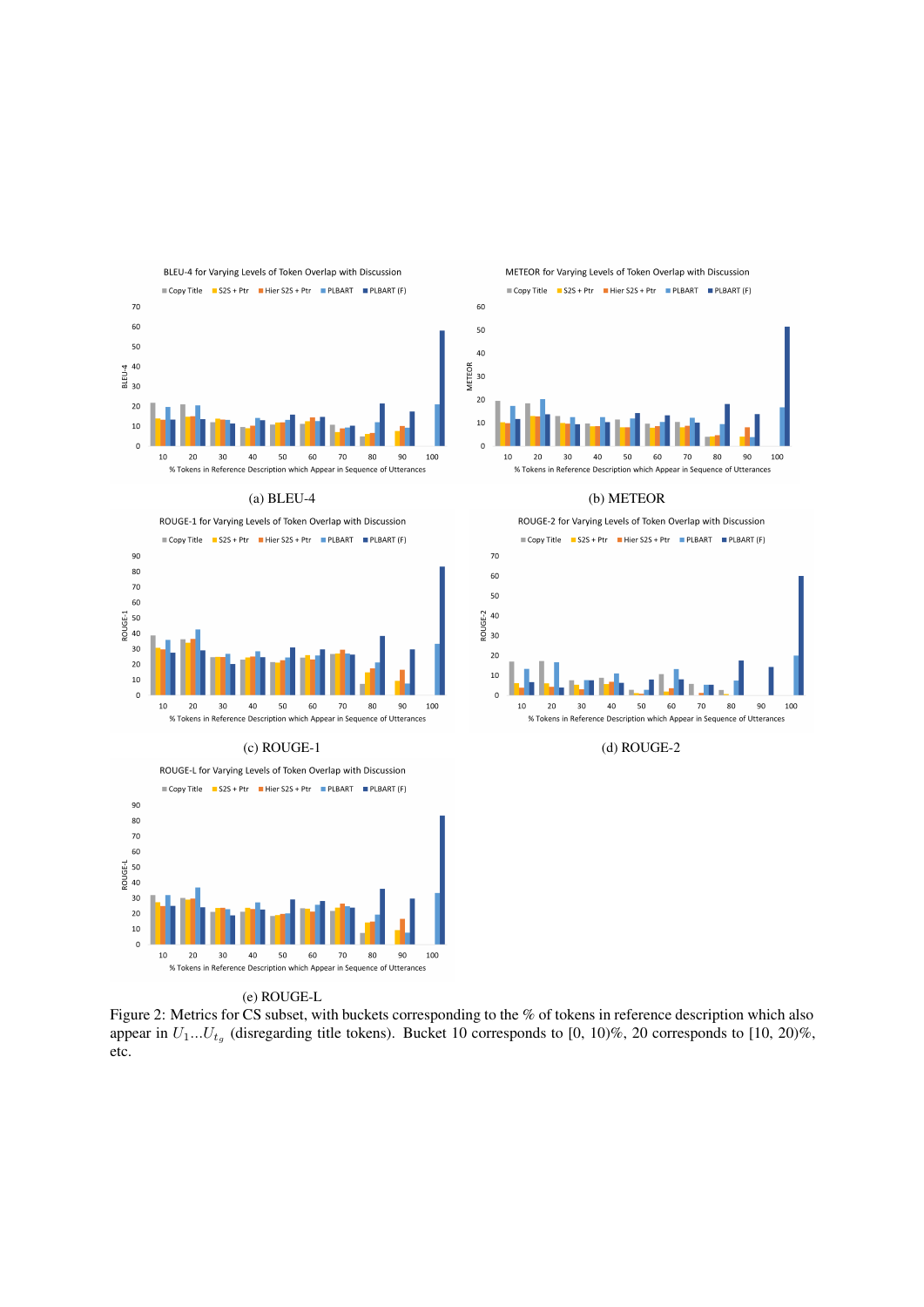<span id="page-16-0"></span>



ROUGE-L for Varying Levels of Token Overlap with Discussion Copy Title S2S + Ptr Hier S2S + Ptr PLBART PLBART (F) 90 80  $70$ 60 ،<br>50 إ ROUGF-I  $\Delta$ 0  $30$ 20  $10$  $\overline{0}$ 100  $10$  $20$  $30$ 40 50 60 70 80 90 % Tokens in Reference Description which Appear in Sequence of Utterances

#### (e) ROUGE-L

Figure 2: Metrics for CS subset, with buckets corresponding to the % of tokens in reference description which also appear in  $U_1...U_{t_q}$  (disregarding title tokens). Bucket 10 corresponds to [0, 10)%, 20 corresponds to [10, 20)%, etc.



Copy Title S2S + Ptr Hier S2S + Ptr PLBART PEBART (F)



#### (a) BLEU-4 (b) METEOR